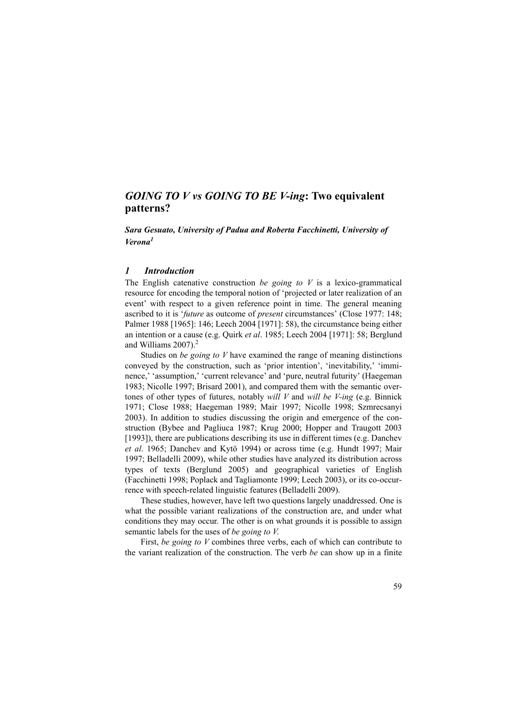# *GOING TO V vs GOING TO BE V***-***ing***: Two equivalent patterns?**

*Sara Gesuato, University of Padua and Roberta Facchinetti, University of Verona<sup>1</sup>*

## *1 Introduction*

The English catenative construction *be going to V* is a lexico-grammatical resource for encoding the temporal notion of 'projected or later realization of an event' with respect to a given reference point in time. The general meaning ascribed to it is '*future* as outcome of *present* circumstances' (Close 1977: 148; Palmer 1988 [1965]: 146; Leech 2004 [1971]: 58), the circumstance being either an intention or a cause (e.g. Quirk *et al*. 1985; Leech 2004 [1971]: 58; Berglund and Williams  $2007$ ).<sup>2</sup>

Studies on *be going to V* have examined the range of meaning distinctions conveyed by the construction, such as 'prior intention', 'inevitability,' 'imminence,' 'assumption,' 'current relevance' and 'pure, neutral futurity' (Haegeman 1983; Nicolle 1997; Brisard 2001), and compared them with the semantic overtones of other types of futures, notably *will V* and *will be V-ing* (e.g. Binnick 1971; Close 1988; Haegeman 1989; Mair 1997; Nicolle 1998; Szmrecsanyi 2003). In addition to studies discussing the origin and emergence of the construction (Bybee and Pagliuca 1987; Krug 2000; Hopper and Traugott 2003 [1993]), there are publications describing its use in different times (e.g. Danchev *et al*. 1965; Danchev and Kytö 1994) or across time (e.g. Hundt 1997; Mair 1997; Belladelli 2009), while other studies have analyzed its distribution across types of texts (Berglund 2005) and geographical varieties of English (Facchinetti 1998; Poplack and Tagliamonte 1999; Leech 2003), or its co-occurrence with speech-related linguistic features (Belladelli 2009).

These studies, however, have left two questions largely unaddressed. One is what the possible variant realizations of the construction are, and under what conditions they may occur. The other is on what grounds it is possible to assign semantic labels for the uses of *be going to V*.

First, *be going to V* combines three verbs, each of which can contribute to the variant realization of the construction. The verb *be* can show up in a finite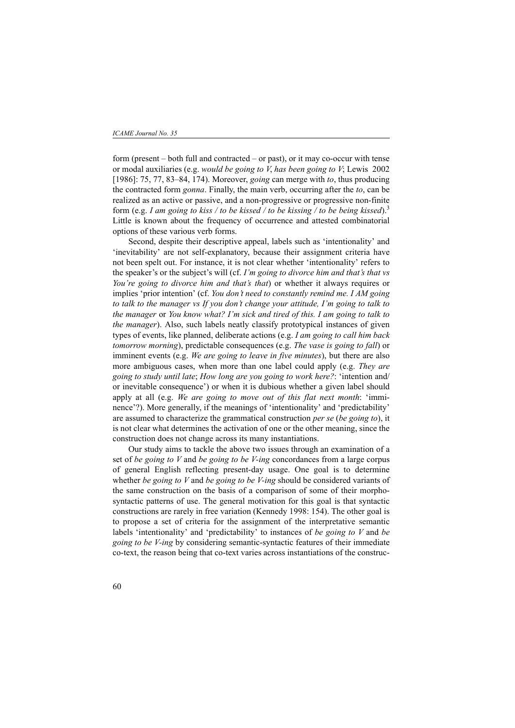form (present – both full and contracted – or past), or it may co-occur with tense or modal auxiliaries (e.g. *would be going to V*, *has been going to V*; Lewis 2002 [1986]: 75, 77, 83–84, 174). Moreover, *going* can merge with *to*, thus producing the contracted form *gonna*. Finally, the main verb, occurring after the *to*, can be realized as an active or passive, and a non-progressive or progressive non-finite form (e.g. *I am going to kiss / to be kissed / to be kissing / to be being kissed*).3 Little is known about the frequency of occurrence and attested combinatorial options of these various verb forms.

Second, despite their descriptive appeal, labels such as 'intentionality' and 'inevitability' are not self-explanatory, because their assignment criteria have not been spelt out. For instance, it is not clear whether 'intentionality' refers to the speaker's or the subject's will (cf. *I'm going to divorce him and that's that vs You're going to divorce him and that's that*) or whether it always requires or implies 'prior intention' (cf. *You don't need to constantly remind me. I AM going to talk to the manager vs If you don't change your attitude, I'm going to talk to the manager* or *You know what? I'm sick and tired of this. I am going to talk to the manager*). Also, such labels neatly classify prototypical instances of given types of events, like planned, deliberate actions (e.g. *I am going to call him back tomorrow morning*), predictable consequences (e.g. *The vase is going to fall*) or imminent events (e.g. *We are going to leave in five minutes*), but there are also more ambiguous cases, when more than one label could apply (e.g. *They are going to study until late*; *How long are you going to work here?*: 'intention and/ or inevitable consequence') or when it is dubious whether a given label should apply at all (e.g. *We are going to move out of this flat next month*: 'imminence'?). More generally, if the meanings of 'intentionality' and 'predictability' are assumed to characterize the grammatical construction *per se* (*be going to*), it is not clear what determines the activation of one or the other meaning, since the construction does not change across its many instantiations.

Our study aims to tackle the above two issues through an examination of a set of *be going to V* and *be going to be V-ing* concordances from a large corpus of general English reflecting present-day usage. One goal is to determine whether *be going to V* and *be going to be V-ing* should be considered variants of the same construction on the basis of a comparison of some of their morphosyntactic patterns of use. The general motivation for this goal is that syntactic constructions are rarely in free variation (Kennedy 1998: 154). The other goal is to propose a set of criteria for the assignment of the interpretative semantic labels 'intentionality' and 'predictability' to instances of *be going to V* and *be going to be V-ing* by considering semantic-syntactic features of their immediate co-text, the reason being that co-text varies across instantiations of the construc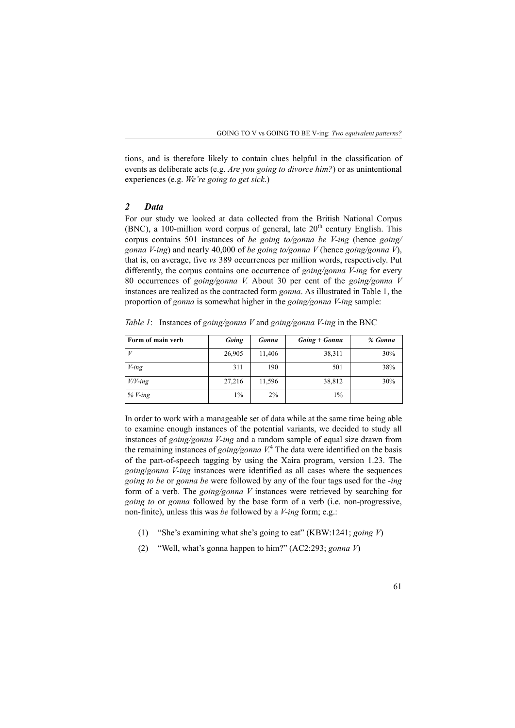tions, and is therefore likely to contain clues helpful in the classification of events as deliberate acts (e.g. *Are you going to divorce him?*) or as unintentional experiences (e.g. *We're going to get sick*.)

# *2 Data*

For our study we looked at data collected from the British National Corpus (BNC), a 100-million word corpus of general, late  $20<sup>th</sup>$  century English. This corpus contains 501 instances of *be going to/gonna be V-ing* (hence *going/ gonna V-ing*) and nearly 40,000 of *be going to/gonna V* (hence *going/gonna V*), that is, on average, five *vs* 389 occurrences per million words, respectively. Put differently, the corpus contains one occurrence of *going/gonna V-ing* for every 80 occurrences of *going/gonna V*. About 30 per cent of the *going/gonna V* instances are realized as the contracted form *gonna*. As illustrated in Table 1, the proportion of *gonna* is somewhat higher in the *going/gonna V-ing* sample:

*Table 1*: Instances of *going/gonna V* and *going/gonna V-ing* in the BNC

| Form of main verb | Going  | <b>Gonna</b> | $Going + Gonna$ | % Gonna |
|-------------------|--------|--------------|-----------------|---------|
| $\cdot V$         | 26,905 | 11,406       | 38,311          | 30%     |
| $V$ -ing          | 311    | 190          | 501             | 38%     |
| $V/V$ -ing        | 27,216 | 11,596       | 38,812          | 30%     |
| $%V$ -ing         | 1%     | 2%           | $1\%$           |         |

In order to work with a manageable set of data while at the same time being able to examine enough instances of the potential variants, we decided to study all instances of *going/gonna V-ing* and a random sample of equal size drawn from the remaining instances of *going/gonna V*. 4 The data were identified on the basis of the part-of-speech tagging by using the Xaira program, version 1.23. The *going*/*gonna V-ing* instances were identified as all cases where the sequences *going to be* or *gonna be* were followed by any of the four tags used for the -*ing* form of a verb. The *going/gonna V* instances were retrieved by searching for *going to* or *gonna* followed by the base form of a verb (i.e. non-progressive, non-finite), unless this was *be* followed by a *V-ing* form; e.g.:

- (1) "She's examining what she's going to eat" (KBW:1241; *going V*)
- (2) "Well, what's gonna happen to him?" (AC2:293; *gonna V*)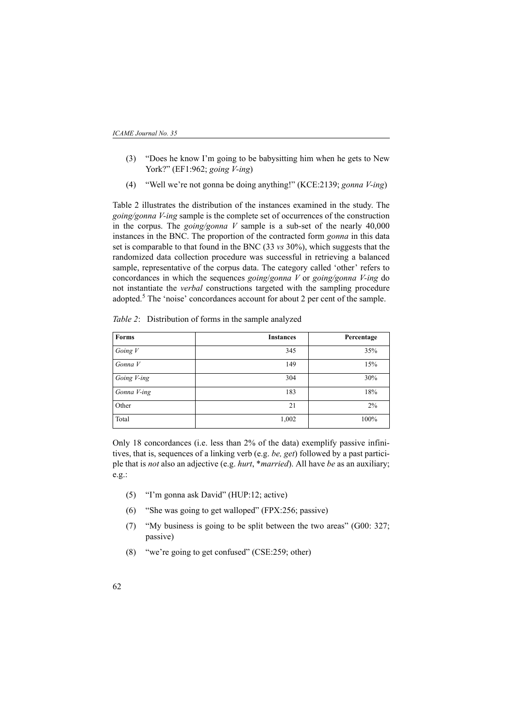- (3) "Does he know I'm going to be babysitting him when he gets to New York?" (EF1:962; *going V-ing*)
- (4) "Well we're not gonna be doing anything!" (KCE:2139; *gonna V-ing*)

Table 2 illustrates the distribution of the instances examined in the study. The *going/gonna V-ing* sample is the complete set of occurrences of the construction in the corpus. The *going/gonna V* sample is a sub-set of the nearly 40,000 instances in the BNC. The proportion of the contracted form *gonna* in this data set is comparable to that found in the BNC (33 *vs* 30%), which suggests that the randomized data collection procedure was successful in retrieving a balanced sample, representative of the corpus data. The category called 'other' refers to concordances in which the sequences *going*/*gonna V* or *going/gonna V-ing* do not instantiate the *verbal* constructions targeted with the sampling procedure adopted.<sup>5</sup> The 'noise' concordances account for about 2 per cent of the sample.

| Forms       | <b>Instances</b> | Percentage |
|-------------|------------------|------------|
| Going $V$   | 345              | 35%        |
| Gonna V     | 149              | 15%        |
| Going V-ing | 304              | 30%        |
| Gonna V-ing | 183              | 18%        |
| Other       | 21               | $2\%$      |
| Total       | 1,002            | 100%       |

*Table 2*: Distribution of forms in the sample analyzed

Only 18 concordances (i.e. less than 2% of the data) exemplify passive infinitives, that is, sequences of a linking verb (e.g. *be, get*) followed by a past participle that is *not* also an adjective (e.g. *hurt*, \**married*). All have *be* as an auxiliary; e.g.:

- (5) "I'm gonna ask David" (HUP:12; active)
- (6) "She was going to get walloped" (FPX:256; passive)
- (7) "My business is going to be split between the two areas" (G00: 327; passive)
- (8) "we're going to get confused" (CSE:259; other)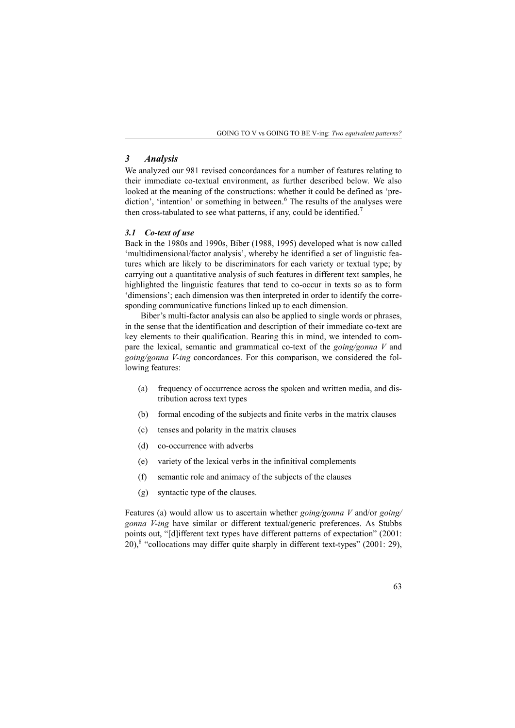### *3 Analysis*

We analyzed our 981 revised concordances for a number of features relating to their immediate co-textual environment, as further described below. We also looked at the meaning of the constructions: whether it could be defined as 'prediction', 'intention' or something in between.<sup>6</sup> The results of the analyses were then cross-tabulated to see what patterns, if any, could be identified.<sup>7</sup>

#### *3.1 Co-text of use*

Back in the 1980s and 1990s, Biber (1988, 1995) developed what is now called 'multidimensional/factor analysis', whereby he identified a set of linguistic features which are likely to be discriminators for each variety or textual type; by carrying out a quantitative analysis of such features in different text samples, he highlighted the linguistic features that tend to co-occur in texts so as to form 'dimensions'; each dimension was then interpreted in order to identify the corresponding communicative functions linked up to each dimension.

Biber's multi-factor analysis can also be applied to single words or phrases, in the sense that the identification and description of their immediate co-text are key elements to their qualification. Bearing this in mind, we intended to compare the lexical, semantic and grammatical co-text of the *going/gonna V* and *going/gonna V-ing* concordances. For this comparison, we considered the following features:

- (a) frequency of occurrence across the spoken and written media, and distribution across text types
- (b) formal encoding of the subjects and finite verbs in the matrix clauses
- (c) tenses and polarity in the matrix clauses
- (d) co-occurrence with adverbs
- (e) variety of the lexical verbs in the infinitival complements
- (f) semantic role and animacy of the subjects of the clauses
- (g) syntactic type of the clauses.

Features (a) would allow us to ascertain whether *going/gonna V* and/or *going/ gonna V-ing* have similar or different textual/generic preferences. As Stubbs points out, "[d]ifferent text types have different patterns of expectation" (2001:  $20$ <sup>8</sup> "collocations may differ quite sharply in different text-types" (2001: 29),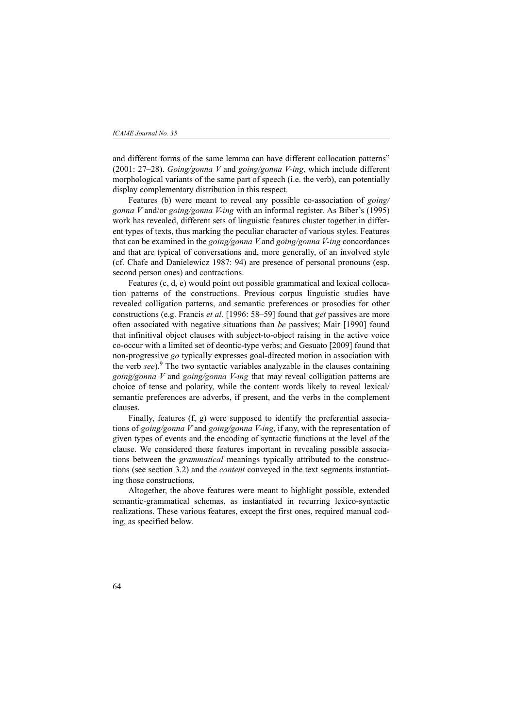and different forms of the same lemma can have different collocation patterns" (2001: 27–28). *Going/gonna V* and *going/gonna V-ing*, which include different morphological variants of the same part of speech (i.e. the verb), can potentially display complementary distribution in this respect.

Features (b) were meant to reveal any possible co-association of *going/ gonna V* and/or *going/gonna V-ing* with an informal register. As Biber's (1995) work has revealed, different sets of linguistic features cluster together in different types of texts, thus marking the peculiar character of various styles. Features that can be examined in the *going/gonna V* and *going/gonna V-ing* concordances and that are typical of conversations and, more generally, of an involved style (cf. Chafe and Danielewicz 1987: 94) are presence of personal pronouns (esp. second person ones) and contractions.

Features (c, d, e) would point out possible grammatical and lexical collocation patterns of the constructions. Previous corpus linguistic studies have revealed colligation patterns, and semantic preferences or prosodies for other constructions (e.g. Francis *et al*. [1996: 58–59] found that *get* passives are more often associated with negative situations than *be* passives; Mair [1990] found that infinitival object clauses with subject-to-object raising in the active voice co-occur with a limited set of deontic-type verbs; and Gesuato [2009] found that non-progressive *go* typically expresses goal-directed motion in association with the verb *see*).<sup>9</sup> The two syntactic variables analyzable in the clauses containing *going/gonna V* and *going/gonna V-ing* that may reveal colligation patterns are choice of tense and polarity, while the content words likely to reveal lexical/ semantic preferences are adverbs, if present, and the verbs in the complement clauses.

Finally, features (f, g) were supposed to identify the preferential associations of *going/gonna V* and *going/gonna V-ing*, if any, with the representation of given types of events and the encoding of syntactic functions at the level of the clause. We considered these features important in revealing possible associations between the *grammatical* meanings typically attributed to the constructions (see section 3.2) and the *content* conveyed in the text segments instantiating those constructions.

Altogether, the above features were meant to highlight possible, extended semantic-grammatical schemas, as instantiated in recurring lexico-syntactic realizations. These various features, except the first ones, required manual coding, as specified below.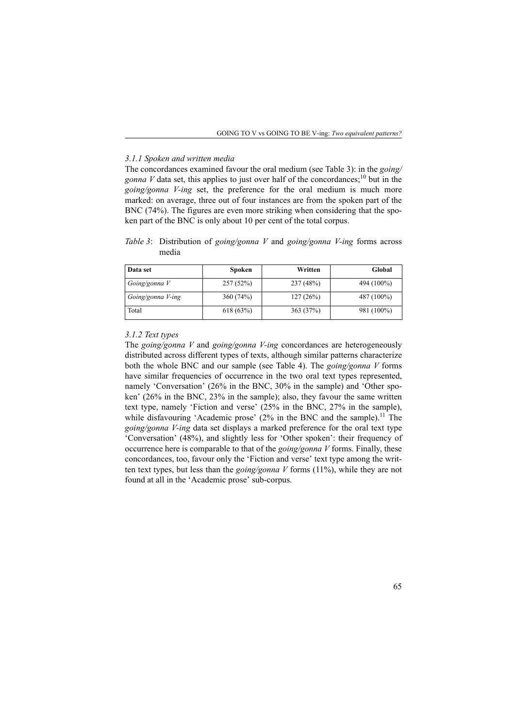#### *3.1.1 Spoken and written media*

The concordances examined favour the oral medium (see Table 3): in the *going/ gonna V* data set, this applies to just over half of the concordances;<sup>10</sup> but in the *going/gonna V-ing* set, the preference for the oral medium is much more marked: on average, three out of four instances are from the spoken part of the BNC (74%). The figures are even more striking when considering that the spoken part of the BNC is only about 10 per cent of the total corpus.

*Table 3*: Distribution of *going/gonna V* and *going/gonna V-ing* forms across media

| Data set          | Spoken   | Written   | Global     |
|-------------------|----------|-----------|------------|
| Going/gonna V     | 257(52%) | 237 (48%) | 494 (100%) |
| Going/gonna V-ing | 360(74%) | 127(26%)  | 487 (100%) |
| Total             | 618(63%) | 363(37%)  | 981 (100%) |

### *3.1.2 Text types*

The *going/gonna V* and *going/gonna V-ing* concordances are heterogeneously distributed across different types of texts, although similar patterns characterize both the whole BNC and our sample (see Table 4). The *going/gonna V* forms have similar frequencies of occurrence in the two oral text types represented. namely 'Conversation' (26% in the BNC, 30% in the sample) and 'Other spoken' (26% in the BNC, 23% in the sample); also, they favour the same written text type, namely 'Fiction and verse' (25% in the BNC, 27% in the sample), while disfavouring 'Academic prose' (2% in the BNC and the sample).<sup>11</sup> The *going/gonna V-ing* data set displays a marked preference for the oral text type 'Conversation' (48%), and slightly less for 'Other spoken': their frequency of occurrence here is comparable to that of the *going/gonna V* forms. Finally, these concordances, too, favour only the 'Fiction and verse' text type among the written text types, but less than the *going/gonna V* forms (11%), while they are not found at all in the 'Academic prose' sub-corpus.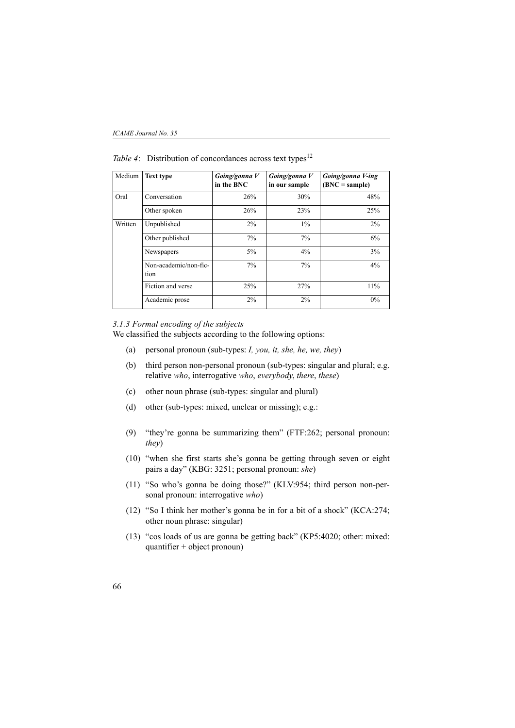| Medium  | <b>Text type</b>              | Going/gonna V<br>in the BNC | Going/gonna V<br>in our sample | Going/gonna V-ing<br>$(BNC = sample)$ |
|---------|-------------------------------|-----------------------------|--------------------------------|---------------------------------------|
| Oral    | Conversation                  | 26%                         | 30%                            | 48%                                   |
|         | Other spoken                  | 26%                         | 23%                            | 25%                                   |
| Written | Unpublished                   | 2%                          | $1\%$                          | $2\%$                                 |
|         | Other published               | $7\%$                       | 7%                             | 6%                                    |
|         | Newspapers                    | 5%                          | 4%                             | 3%                                    |
|         | Non-academic/non-fic-<br>tion | 7%                          | 7%                             | 4%                                    |
|         | Fiction and verse             | 25%                         | 27%                            | 11%                                   |
|         | Academic prose                | 2%                          | 2%                             | 0%                                    |

*Table 4*: Distribution of concordances across text types<sup>12</sup>

### *3.1.3 Formal encoding of the subjects*

We classified the subjects according to the following options:

- (a) personal pronoun (sub-types: *I, you, it, she, he, we, they*)
- (b) third person non-personal pronoun (sub-types: singular and plural; e.g. relative *who*, interrogative *who*, *everybody*, *there*, *these*)
- (c) other noun phrase (sub-types: singular and plural)
- (d) other (sub-types: mixed, unclear or missing); e.g.:
- (9) "they're gonna be summarizing them" (FTF:262; personal pronoun: *they*)
- (10) "when she first starts she's gonna be getting through seven or eight pairs a day" (KBG: 3251; personal pronoun: *she*)
- (11) "So who's gonna be doing those?" (KLV:954; third person non-personal pronoun: interrogative *who*)
- (12) "So I think her mother's gonna be in for a bit of a shock" (KCA:274; other noun phrase: singular)
- (13) "cos loads of us are gonna be getting back" (KP5:4020; other: mixed: quantifier + object pronoun)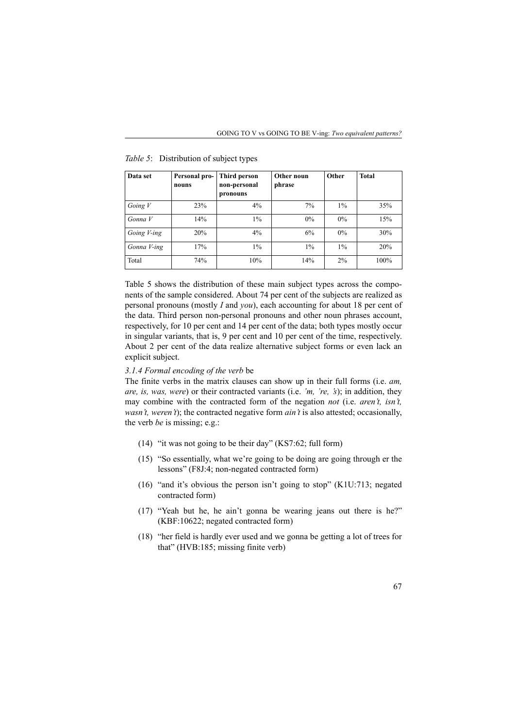| Data set    | Personal pro-<br>nouns | Third person<br>non-personal<br>pronouns | Other noun<br>phrase | Other | <b>Total</b> |
|-------------|------------------------|------------------------------------------|----------------------|-------|--------------|
| Going $V$   | 23%                    | 4%                                       | 7%                   | $1\%$ | 35%          |
| Gonna V     | 14%                    | $1\%$                                    | $0\%$                | $0\%$ | 15%          |
| Going V-ing | 20%                    | 4%                                       | 6%                   | $0\%$ | 30%          |
| Gonna V-ing | 17%                    | $1\%$                                    | $1\%$                | $1\%$ | 20%          |
| Total       | 74%                    | 10%                                      | 14%                  | 2%    | 100%         |

*Table 5*: Distribution of subject types

Table 5 shows the distribution of these main subject types across the components of the sample considered. About 74 per cent of the subjects are realized as personal pronouns (mostly *I* and *you*), each accounting for about 18 per cent of the data. Third person non-personal pronouns and other noun phrases account, respectively, for 10 per cent and 14 per cent of the data; both types mostly occur in singular variants, that is, 9 per cent and 10 per cent of the time, respectively. About 2 per cent of the data realize alternative subject forms or even lack an explicit subject.

### *3.1.4 Formal encoding of the verb* be

The finite verbs in the matrix clauses can show up in their full forms (i.e. *am, are, is, was, were*) or their contracted variants (i.e. *'m, 're, 's*); in addition, they may combine with the contracted form of the negation *not* (i.e. *aren't, isn't, wasn't, weren't*); the contracted negative form *ain't* is also attested; occasionally, the verb *be* is missing; e.g.:

- (14) "it was not going to be their day" (KS7:62; full form)
- (15) "So essentially, what we're going to be doing are going through er the lessons" (F8J:4; non-negated contracted form)
- (16) "and it's obvious the person isn't going to stop" (K1U:713; negated contracted form)
- (17) "Yeah but he, he ain't gonna be wearing jeans out there is he?" (KBF:10622; negated contracted form)
- (18) "her field is hardly ever used and we gonna be getting a lot of trees for that" (HVB:185; missing finite verb)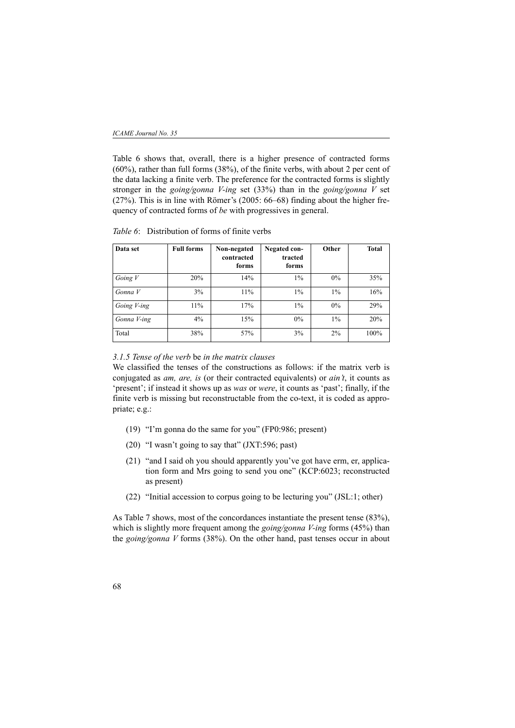#### *ICAME Journal No. 35*

Table 6 shows that, overall, there is a higher presence of contracted forms (60%), rather than full forms (38%), of the finite verbs, with about 2 per cent of the data lacking a finite verb. The preference for the contracted forms is slightly stronger in the *going/gonna V-ing* set (33%) than in the *going/gonna V* set (27%). This is in line with Römer's (2005: 66–68) finding about the higher frequency of contracted forms of *be* with progressives in general.

| Data set    | <b>Full forms</b> | Non-negated<br>contracted<br>forms | Negated con-<br>tracted<br>forms | Other | <b>Total</b> |
|-------------|-------------------|------------------------------------|----------------------------------|-------|--------------|
| Going $V$   | 20%               | 14%                                | $1\%$                            | 0%    | 35%          |
| Gonna V     | 3%                | 11%                                | $1\%$                            | $1\%$ | 16%          |
| Going V-ing | 11%               | 17%                                | $1\%$                            | $0\%$ | 29%          |
| Gonna V-ing | 4%                | 15%                                | $0\%$                            | $1\%$ | 20%          |
| Total       | 38%               | 57%                                | 3%                               | 2%    | 100%         |

*Table 6*: Distribution of forms of finite verbs

### *3.1.5 Tense of the verb* be *in the matrix clauses*

We classified the tenses of the constructions as follows: if the matrix verb is conjugated as *am, are, is* (or their contracted equivalents) or *ain't*, it counts as 'present'; if instead it shows up as *was* or *were*, it counts as 'past'; finally, if the finite verb is missing but reconstructable from the co-text, it is coded as appropriate; e.g.:

- (19) "I'm gonna do the same for you" (FP0:986; present)
- (20) "I wasn't going to say that" (JXT:596; past)
- (21) "and I said oh you should apparently you've got have erm, er, application form and Mrs going to send you one" (KCP:6023; reconstructed as present)
- (22) "Initial accession to corpus going to be lecturing you" (JSL:1; other)

As Table 7 shows, most of the concordances instantiate the present tense (83%), which is slightly more frequent among the *going/gonna V-ing* forms (45%) than the *going/gonna V* forms (38%). On the other hand, past tenses occur in about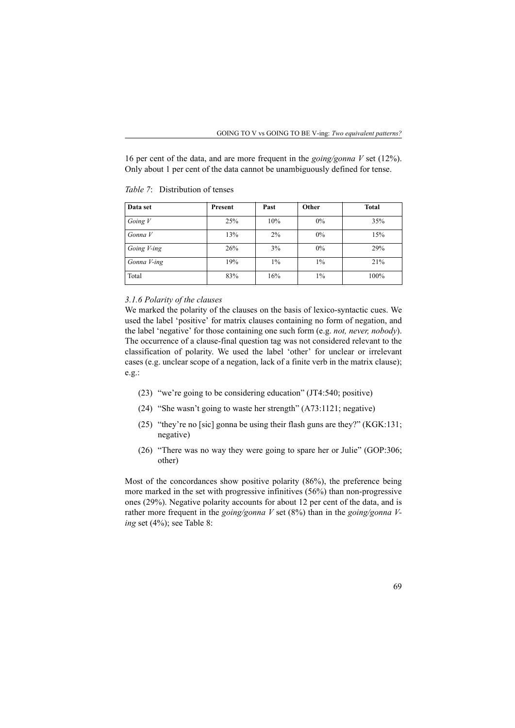16 per cent of the data, and are more frequent in the *going/gonna V* set (12%). Only about 1 per cent of the data cannot be unambiguously defined for tense.

| Data set    | Present | Past  | Other | <b>Total</b> |
|-------------|---------|-------|-------|--------------|
| Going $V$   | 25%     | 10%   | 0%    | 35%          |
| Gonna V     | 13%     | 2%    | 0%    | 15%          |
| Going V-ing | 26%     | 3%    | 0%    | 29%          |
| Gonna V-ing | 19%     | $1\%$ | $1\%$ | 21%          |
| Total       | 83%     | 16%   | $1\%$ | 100%         |

*Table 7*: Distribution of tenses

### *3.1.6 Polarity of the clauses*

We marked the polarity of the clauses on the basis of lexico-syntactic cues. We used the label 'positive' for matrix clauses containing no form of negation, and the label 'negative' for those containing one such form (e.g. *not, never, nobody*). The occurrence of a clause-final question tag was not considered relevant to the classification of polarity. We used the label 'other' for unclear or irrelevant cases (e.g. unclear scope of a negation, lack of a finite verb in the matrix clause); e.g.:

- (23) "we're going to be considering education" (JT4:540; positive)
- (24) "She wasn't going to waste her strength" (A73:1121; negative)
- (25) "they're no [sic] gonna be using their flash guns are they?" (KGK:131; negative)
- (26) "There was no way they were going to spare her or Julie" (GOP:306; other)

Most of the concordances show positive polarity (86%), the preference being more marked in the set with progressive infinitives (56%) than non-progressive ones (29%). Negative polarity accounts for about 12 per cent of the data, and is rather more frequent in the *going/gonna V* set (8%) than in the *going/gonna Ving* set (4%); see Table 8: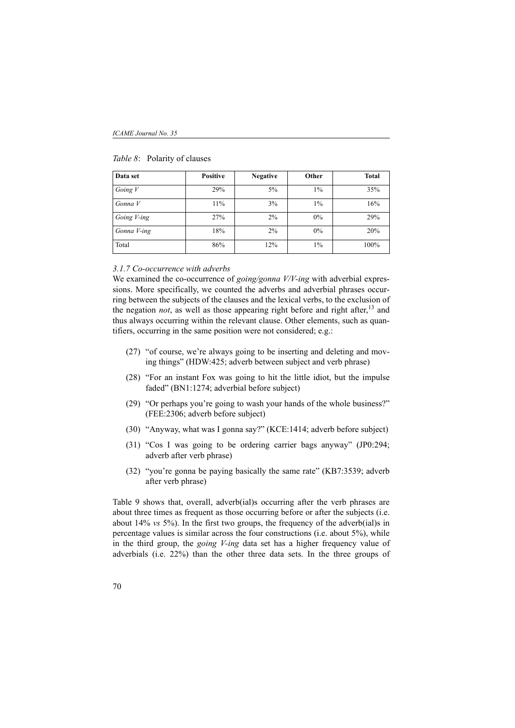| Data set    | <b>Positive</b> | <b>Negative</b> | Other | <b>Total</b> |
|-------------|-----------------|-----------------|-------|--------------|
| Going $V$   | 29%             | 5%              | $1\%$ | 35%          |
| Gonna V     | 11%             | 3%              | $1\%$ | 16%          |
| Going V-ing | 27%             | 2%              | 0%    | 29%          |
| Gonna V-ing | 18%             | 2%              | 0%    | 20%          |
| Total       | 86%             | 12%             | $1\%$ | 100%         |

### *Table 8*: Polarity of clauses

#### *3.1.7 Co-occurrence with adverbs*

We examined the co-occurrence of *going/gonna V/V-ing* with adverbial expressions. More specifically, we counted the adverbs and adverbial phrases occurring between the subjects of the clauses and the lexical verbs, to the exclusion of the negation *not*, as well as those appearing right before and right after,  $13$  and thus always occurring within the relevant clause. Other elements, such as quantifiers, occurring in the same position were not considered; e.g.:

- (27) "of course, we're always going to be inserting and deleting and moving things" (HDW:425; adverb between subject and verb phrase)
- (28) "For an instant Fox was going to hit the little idiot, but the impulse faded" (BN1:1274; adverbial before subject)
- (29) "Or perhaps you're going to wash your hands of the whole business?" (FEE:2306; adverb before subject)
- (30) "Anyway, what was I gonna say?" (KCE:1414; adverb before subject)
- (31) "Cos I was going to be ordering carrier bags anyway" (JP0:294; adverb after verb phrase)
- (32) "you're gonna be paying basically the same rate" (KB7:3539; adverb after verb phrase)

Table 9 shows that, overall, adverb(ial)s occurring after the verb phrases are about three times as frequent as those occurring before or after the subjects (i.e. about 14% *vs* 5%). In the first two groups, the frequency of the adverb(ial)s in percentage values is similar across the four constructions (i.e. about 5%), while in the third group, the *going V-ing* data set has a higher frequency value of adverbials (i.e. 22%) than the other three data sets. In the three groups of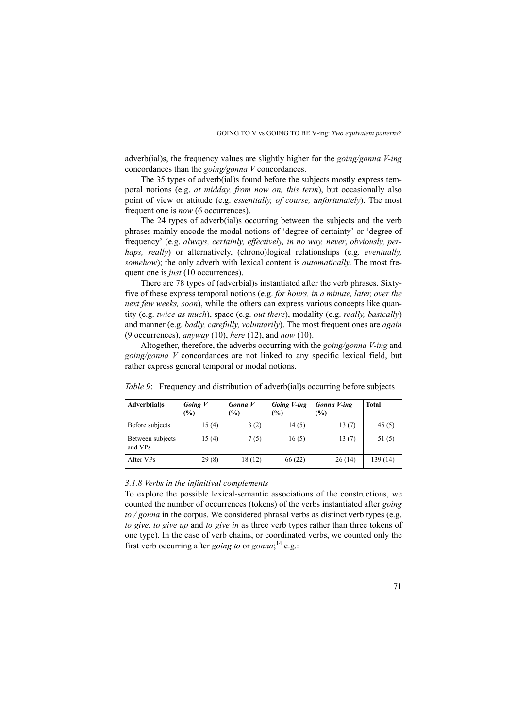adverb(ial)s, the frequency values are slightly higher for the *going/gonna V-ing* concordances than the *going/gonna V* concordances.

The 35 types of adverb(ial)s found before the subjects mostly express temporal notions (e.g. *at midday, from now on, this term*), but occasionally also point of view or attitude (e.g. *essentially, of course, unfortunately*). The most frequent one is *now* (6 occurrences).

The 24 types of adverb(ial)s occurring between the subjects and the verb phrases mainly encode the modal notions of 'degree of certainty' or 'degree of frequency' (e.g. *always, certainly, effectively, in no way, never*, *obviously, perhaps, really*) or alternatively, (chrono)logical relationships (e.g. *eventually, somehow*); the only adverb with lexical content is *automatically*. The most frequent one is *just* (10 occurrences).

There are 78 types of (adverbial)s instantiated after the verb phrases. Sixtyfive of these express temporal notions (e.g. *for hours, in a minute, later, over the next few weeks, soon*), while the others can express various concepts like quantity (e.g. *twice as much*), space (e.g. *out there*), modality (e.g. *really, basically*) and manner (e.g. *badly, carefully, voluntarily*). The most frequent ones are *again* (9 occurrences), *anyway* (10), *here* (12), and *now* (10).

Altogether, therefore, the adverbs occurring with the *going/gonna V-ing* and *going/gonna V* concordances are not linked to any specific lexical field, but rather express general temporal or modal notions.

| Adverb(ial)s                | Going $V$<br>$\frac{6}{6}$ | Gonna V<br>(%) | Going V-ing<br>(%) | Gonna V-ing<br>(%) | <b>Total</b> |
|-----------------------------|----------------------------|----------------|--------------------|--------------------|--------------|
| Before subjects             | 15(4)                      | 3(2)           | 14(5)              | 13(7)              | 45(5)        |
| Between subjects<br>and VPs | 15(4)                      | 7(5)           | 16(5)              | 13(7)              | 51(5)        |
| After VPs                   | 29(8)                      | 18(12)         | 66 (22)            | 26(14)             | 139 (14)     |

*Table 9*: Frequency and distribution of adverb(ial)s occurring before subjects

#### *3.1.8 Verbs in the infinitival complements*

To explore the possible lexical-semantic associations of the constructions, we counted the number of occurrences (tokens) of the verbs instantiated after *going to / gonna* in the corpus. We considered phrasal verbs as distinct verb types (e.g. *to give*, *to give up* and *to give in* as three verb types rather than three tokens of one type). In the case of verb chains, or coordinated verbs, we counted only the first verb occurring after *going to* or *gonna*; 14 e.g.: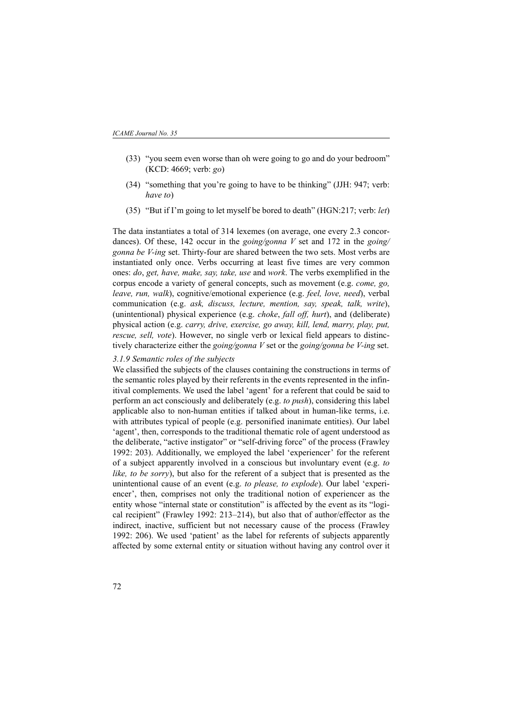- (33) "you seem even worse than oh were going to go and do your bedroom" (KCD: 4669; verb: *go*)
- (34) "something that you're going to have to be thinking" (JJH: 947; verb: *have to*)
- (35) "But if I'm going to let myself be bored to death" (HGN:217; verb: *let*)

The data instantiates a total of 314 lexemes (on average, one every 2.3 concordances). Of these, 142 occur in the *going/gonna V* set and 172 in the *going/ gonna be V-ing* set. Thirty-four are shared between the two sets. Most verbs are instantiated only once. Verbs occurring at least five times are very common ones: *do*, *get, have, make, say, take, use* and *work*. The verbs exemplified in the corpus encode a variety of general concepts, such as movement (e.g. *come, go, leave, run, walk*), cognitive/emotional experience (e.g. *feel, love, need*), verbal communication (e.g. *ask, discuss, lecture, mention, say, speak, talk, write*), (unintentional) physical experience (e.g. *choke*, *fall off, hurt*), and (deliberate) physical action (e.g. *carry, drive, exercise, go away, kill, lend, marry, play, put, rescue, sell, vote*). However, no single verb or lexical field appears to distinctively characterize either the *going/gonna V* set or the *going/gonna be V-ing* set.

#### *3.1.9 Semantic roles of the subjects*

We classified the subjects of the clauses containing the constructions in terms of the semantic roles played by their referents in the events represented in the infinitival complements. We used the label 'agent' for a referent that could be said to perform an act consciously and deliberately (e.g. *to push*), considering this label applicable also to non-human entities if talked about in human-like terms, i.e. with attributes typical of people (e.g. personified inanimate entities). Our label 'agent', then, corresponds to the traditional thematic role of agent understood as the deliberate, "active instigator" or "self-driving force" of the process (Frawley 1992: 203). Additionally, we employed the label 'experiencer' for the referent of a subject apparently involved in a conscious but involuntary event (e.g. *to like, to be sorry*), but also for the referent of a subject that is presented as the unintentional cause of an event (e.g. *to please, to explode*). Our label 'experiencer', then, comprises not only the traditional notion of experiencer as the entity whose "internal state or constitution" is affected by the event as its "logical recipient" (Frawley 1992: 213–214), but also that of author/effector as the indirect, inactive, sufficient but not necessary cause of the process (Frawley 1992: 206). We used 'patient' as the label for referents of subjects apparently affected by some external entity or situation without having any control over it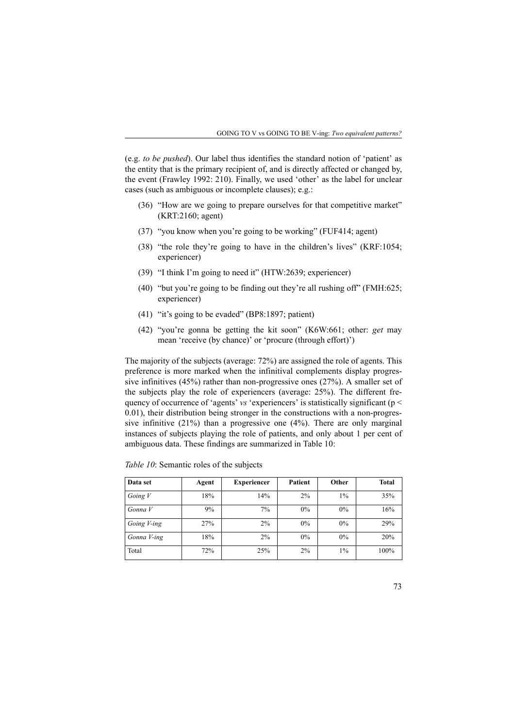(e.g. *to be pushed*). Our label thus identifies the standard notion of 'patient' as the entity that is the primary recipient of, and is directly affected or changed by, the event (Frawley 1992: 210). Finally, we used 'other' as the label for unclear cases (such as ambiguous or incomplete clauses); e.g.:

- (36) "How are we going to prepare ourselves for that competitive market" (KRT:2160; agent)
- (37) "you know when you're going to be working" (FUF414; agent)
- (38) "the role they're going to have in the children's lives" (KRF:1054; experiencer)
- (39) "I think I'm going to need it" (HTW:2639; experiencer)
- (40) "but you're going to be finding out they're all rushing off" (FMH:625; experiencer)
- (41) "it's going to be evaded" (BP8:1897; patient)
- (42) "you're gonna be getting the kit soon" (K6W:661; other: *get* may mean 'receive (by chance)' or 'procure (through effort)')

The majority of the subjects (average: 72%) are assigned the role of agents. This preference is more marked when the infinitival complements display progressive infinitives (45%) rather than non-progressive ones (27%). A smaller set of the subjects play the role of experiencers (average: 25%). The different frequency of occurrence of 'agents' *vs* 'experiencers' is statistically significant (p < 0.01), their distribution being stronger in the constructions with a non-progressive infinitive (21%) than a progressive one (4%). There are only marginal instances of subjects playing the role of patients, and only about 1 per cent of ambiguous data. These findings are summarized in Table 10:

| Data set    | Agent | <b>Experiencer</b> | Patient | Other | <b>Total</b> |
|-------------|-------|--------------------|---------|-------|--------------|
| Going $V$   | 18%   | 14%                | 2%      | $1\%$ | 35%          |
| Gonna V     | 9%    | 7%                 | $0\%$   | $0\%$ | 16%          |
| Going V-ing | 27%   | 2%                 | $0\%$   | $0\%$ | 29%          |
| Gonna V-ing | 18%   | 2%                 | $0\%$   | $0\%$ | 20%          |
| Total       | 72%   | 25%                | 2%      | 1%    | 100%         |

*Table 10*: Semantic roles of the subjects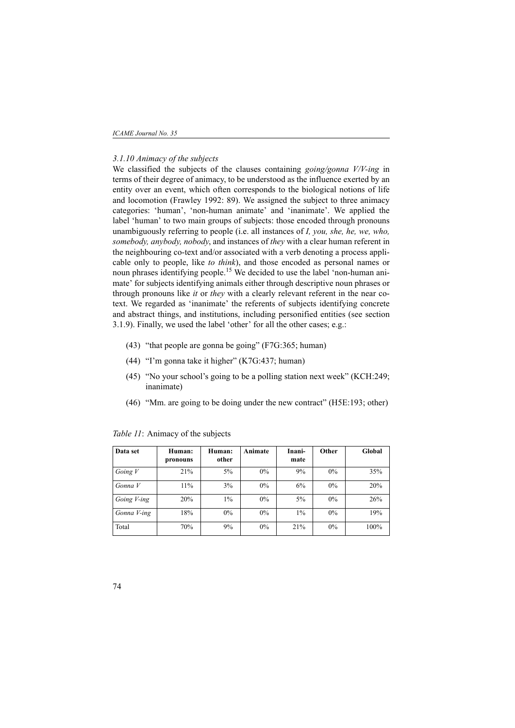*ICAME Journal No. 35*

#### *3.1.10 Animacy of the subjects*

We classified the subjects of the clauses containing *going/gonna V/V-ing* in terms of their degree of animacy, to be understood as the influence exerted by an entity over an event, which often corresponds to the biological notions of life and locomotion (Frawley 1992: 89). We assigned the subject to three animacy categories: 'human', 'non-human animate' and 'inanimate'. We applied the label 'human' to two main groups of subjects: those encoded through pronouns unambiguously referring to people (i.e. all instances of *I, you, she, he, we, who, somebody, anybody, nobody*, and instances of *they* with a clear human referent in the neighbouring co-text and/or associated with a verb denoting a process applicable only to people, like *to think*), and those encoded as personal names or noun phrases identifying people.<sup>15</sup> We decided to use the label 'non-human animate' for subjects identifying animals either through descriptive noun phrases or through pronouns like *it* or *they* with a clearly relevant referent in the near cotext. We regarded as 'inanimate' the referents of subjects identifying concrete and abstract things, and institutions, including personified entities (see section 3.1.9). Finally, we used the label 'other' for all the other cases; e.g.:

- (43) "that people are gonna be going" (F7G:365; human)
- (44) "I'm gonna take it higher" (K7G:437; human)
- (45) "No your school's going to be a polling station next week" (KCH:249; inanimate)
- (46) "Mm. are going to be doing under the new contract" (H5E:193; other)

| Data set    | Human:<br>pronouns | Human:<br>other | Animate | Inani-<br>mate | Other | Global |
|-------------|--------------------|-----------------|---------|----------------|-------|--------|
| Going $V$   | 21%                | 5%              | 0%      | 9%             | $0\%$ | 35%    |
| Gonna V     | 11%                | 3%              | 0%      | 6%             | $0\%$ | 20%    |
| Going V-ing | 20%                | $1\%$           | 0%      | 5%             | $0\%$ | 26%    |
| Gonna V-ing | 18%                | $0\%$           | 0%      | $1\%$          | $0\%$ | 19%    |
| Total       | 70%                | 9%              | 0%      | 21%            | $0\%$ | 100%   |

*Table 11*: Animacy of the subjects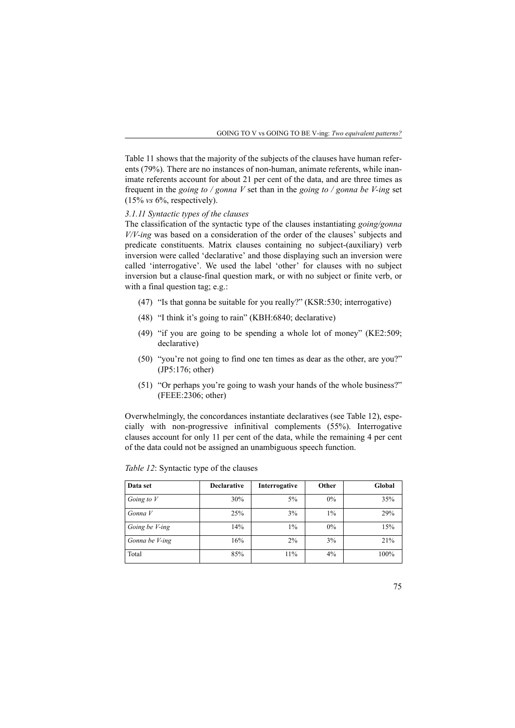Table 11 shows that the majority of the subjects of the clauses have human referents (79%). There are no instances of non-human, animate referents, while inanimate referents account for about 21 per cent of the data, and are three times as frequent in the *going to / gonna V* set than in the *going to / gonna be V-ing* set (15% *vs* 6%, respectively).

### *3.1.11 Syntactic types of the clauses*

The classification of the syntactic type of the clauses instantiating *going/gonna V/V-ing* was based on a consideration of the order of the clauses' subjects and predicate constituents. Matrix clauses containing no subject-(auxiliary) verb inversion were called 'declarative' and those displaying such an inversion were called 'interrogative'. We used the label 'other' for clauses with no subject inversion but a clause-final question mark, or with no subject or finite verb, or with a final question tag; e.g.:

- (47) "Is that gonna be suitable for you really?" (KSR:530; interrogative)
- (48) "I think it's going to rain" (KBH:6840; declarative)
- (49) "if you are going to be spending a whole lot of money" (KE2:509; declarative)
- (50) "you're not going to find one ten times as dear as the other, are you?" (JP5:176; other)
- (51) "Or perhaps you're going to wash your hands of the whole business?" (FEEE:2306; other)

Overwhelmingly, the concordances instantiate declaratives (see Table 12), especially with non-progressive infinitival complements (55%). Interrogative clauses account for only 11 per cent of the data, while the remaining 4 per cent of the data could not be assigned an unambiguous speech function.

| Data set       | <b>Declarative</b> | Interrogative | Other | Global |
|----------------|--------------------|---------------|-------|--------|
| Going to V     | 30%                | 5%            | $0\%$ | 35%    |
| Gonna V        | 25%                | 3%            | $1\%$ | 29%    |
| Going be V-ing | 14%                | $1\%$         | $0\%$ | 15%    |
| Gonna be V-ing | 16%                | 2%            | 3%    | 21%    |
| Total          | 85%                | 11%           | 4%    | 100%   |

*Table 12*: Syntactic type of the clauses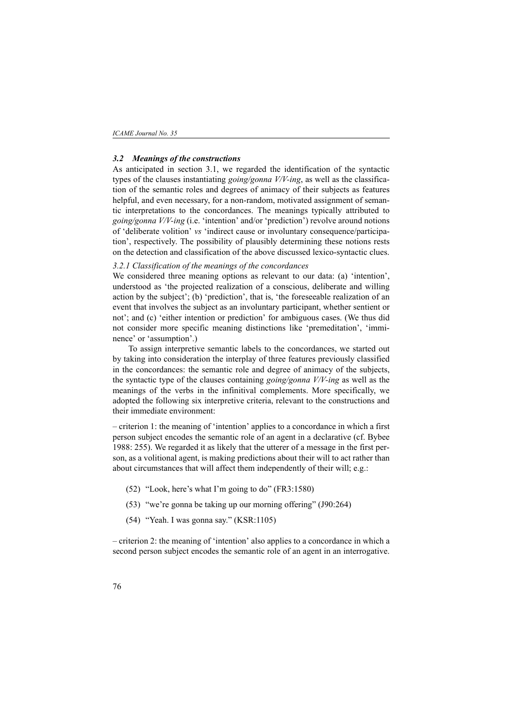#### *3.2 Meanings of the constructions*

As anticipated in section 3.1, we regarded the identification of the syntactic types of the clauses instantiating *going/gonna V/V-ing*, as well as the classification of the semantic roles and degrees of animacy of their subjects as features helpful, and even necessary, for a non-random, motivated assignment of semantic interpretations to the concordances. The meanings typically attributed to *going/gonna V/V-ing* (i.e. 'intention' and/or 'prediction') revolve around notions of 'deliberate volition' *vs* 'indirect cause or involuntary consequence/participation', respectively. The possibility of plausibly determining these notions rests on the detection and classification of the above discussed lexico-syntactic clues.

### *3.2.1 Classification of the meanings of the concordances*

We considered three meaning options as relevant to our data: (a) 'intention', understood as 'the projected realization of a conscious, deliberate and willing action by the subject'; (b) 'prediction', that is, 'the foreseeable realization of an event that involves the subject as an involuntary participant, whether sentient or not'; and (c) 'either intention or prediction' for ambiguous cases. (We thus did not consider more specific meaning distinctions like 'premeditation', 'imminence' or 'assumption'.)

To assign interpretive semantic labels to the concordances, we started out by taking into consideration the interplay of three features previously classified in the concordances: the semantic role and degree of animacy of the subjects, the syntactic type of the clauses containing *going/gonna V/V-ing* as well as the meanings of the verbs in the infinitival complements. More specifically, we adopted the following six interpretive criteria, relevant to the constructions and their immediate environment:

– criterion 1: the meaning of 'intention' applies to a concordance in which a first person subject encodes the semantic role of an agent in a declarative (cf. Bybee 1988: 255). We regarded it as likely that the utterer of a message in the first person, as a volitional agent, is making predictions about their will to act rather than about circumstances that will affect them independently of their will; e.g.:

- (52) "Look, here's what I'm going to do" (FR3:1580)
- (53) "we're gonna be taking up our morning offering" (J90:264)
- (54) "Yeah. I was gonna say." (KSR:1105)

– criterion 2: the meaning of 'intention' also applies to a concordance in which a second person subject encodes the semantic role of an agent in an interrogative.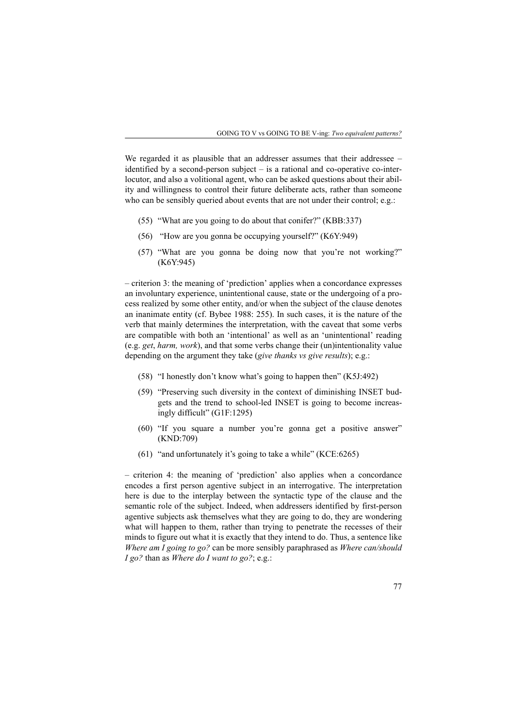We regarded it as plausible that an addresser assumes that their addressee – identified by a second-person subject – is a rational and co-operative co-interlocutor, and also a volitional agent, who can be asked questions about their ability and willingness to control their future deliberate acts, rather than someone who can be sensibly queried about events that are not under their control; e.g.:

- (55) "What are you going to do about that conifer?" (KBB:337)
- (56) "How are you gonna be occupying yourself?" (K6Y:949)
- (57) "What are you gonna be doing now that you're not working?" (K6Y:945)

– criterion 3: the meaning of 'prediction' applies when a concordance expresses an involuntary experience, unintentional cause, state or the undergoing of a process realized by some other entity, and/or when the subject of the clause denotes an inanimate entity (cf. Bybee 1988: 255). In such cases, it is the nature of the verb that mainly determines the interpretation, with the caveat that some verbs are compatible with both an 'intentional' as well as an 'unintentional' reading (e.g. *get*, *harm, work*), and that some verbs change their (un)intentionality value depending on the argument they take (*give thanks vs give results*); e.g.:

- (58) "I honestly don't know what's going to happen then" (K5J:492)
- (59) "Preserving such diversity in the context of diminishing INSET budgets and the trend to school-led INSET is going to become increasingly difficult" (G1F:1295)
- (60) "If you square a number you're gonna get a positive answer" (KND:709)
- (61) "and unfortunately it's going to take a while" (KCE:6265)

– criterion 4: the meaning of 'prediction' also applies when a concordance encodes a first person agentive subject in an interrogative. The interpretation here is due to the interplay between the syntactic type of the clause and the semantic role of the subject. Indeed, when addressers identified by first-person agentive subjects ask themselves what they are going to do, they are wondering what will happen to them, rather than trying to penetrate the recesses of their minds to figure out what it is exactly that they intend to do. Thus, a sentence like *Where am I going to go?* can be more sensibly paraphrased as *Where can/should I go?* than as *Where do I want to go?*; e.g.: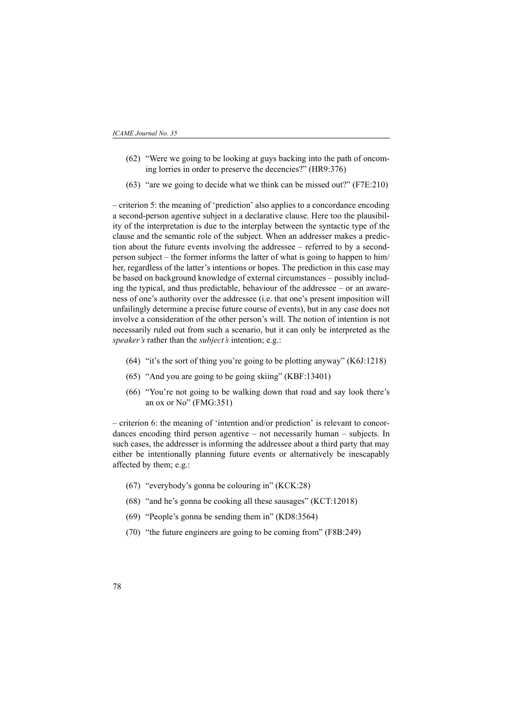- (62) "Were we going to be looking at guys backing into the path of oncoming lorries in order to preserve the decencies?" (HR9:376)
- (63) "are we going to decide what we think can be missed out?" (F7E:210)

– criterion 5: the meaning of 'prediction' also applies to a concordance encoding a second-person agentive subject in a declarative clause. Here too the plausibility of the interpretation is due to the interplay between the syntactic type of the clause and the semantic role of the subject. When an addresser makes a prediction about the future events involving the addressee – referred to by a secondperson subject – the former informs the latter of what is going to happen to him/ her, regardless of the latter's intentions or hopes. The prediction in this case may be based on background knowledge of external circumstances – possibly including the typical, and thus predictable, behaviour of the addressee – or an awareness of one's authority over the addressee (i.e. that one's present imposition will unfailingly determine a precise future course of events), but in any case does not involve a consideration of the other person's will. The notion of intention is not necessarily ruled out from such a scenario, but it can only be interpreted as the *speaker's* rather than the *subject's* intention; e.g.:

- (64) "it's the sort of thing you're going to be plotting anyway" (K6J:1218)
- (65) "And you are going to be going skiing" (KBF:13401)
- (66) "You're not going to be walking down that road and say look there's an ox or No" (FMG:351)

– criterion 6: the meaning of 'intention and/or prediction' is relevant to concordances encoding third person agentive – not necessarily human – subjects. In such cases, the addresser is informing the addressee about a third party that may either be intentionally planning future events or alternatively be inescapably affected by them; e.g.:

- (67) "everybody's gonna be colouring in" (KCK:28)
- (68) "and he's gonna be cooking all these sausages" (KCT:12018)
- (69) "People's gonna be sending them in" (KD8:3564)
- (70) "the future engineers are going to be coming from" (F8B:249)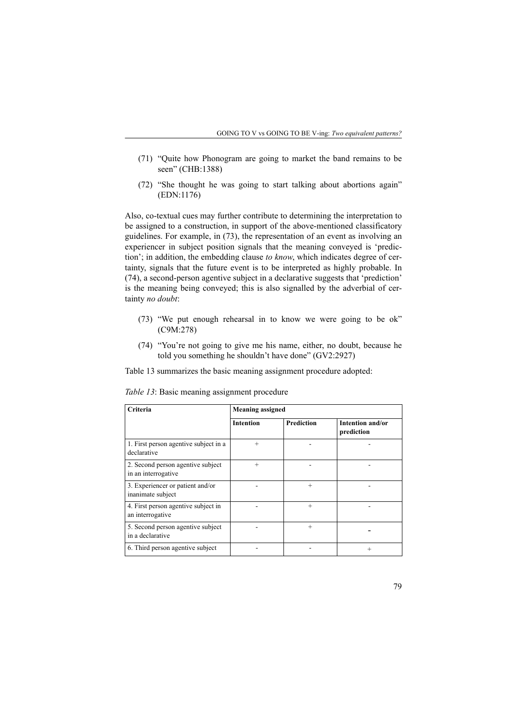- (71) "Quite how Phonogram are going to market the band remains to be seen" (CHB:1388)
- (72) "She thought he was going to start talking about abortions again" (EDN:1176)

Also, co-textual cues may further contribute to determining the interpretation to be assigned to a construction, in support of the above-mentioned classificatory guidelines. For example, in (73), the representation of an event as involving an experiencer in subject position signals that the meaning conveyed is 'prediction'; in addition, the embedding clause *to know*, which indicates degree of certainty, signals that the future event is to be interpreted as highly probable. In (74), a second-person agentive subject in a declarative suggests that 'prediction' is the meaning being conveyed; this is also signalled by the adverbial of certainty *no doubt*:

- (73) "We put enough rehearsal in to know we were going to be ok" (C9M:278)
- (74) "You're not going to give me his name, either, no doubt, because he told you something he shouldn't have done" (GV2:2927)

Table 13 summarizes the basic meaning assignment procedure adopted:

| Criteria                                                 | <b>Meaning assigned</b> |                   |                                |  |
|----------------------------------------------------------|-------------------------|-------------------|--------------------------------|--|
|                                                          | <b>Intention</b>        | <b>Prediction</b> | Intention and/or<br>prediction |  |
| 1. First person agentive subject in a<br>declarative     | $^{+}$                  |                   |                                |  |
| 2. Second person agentive subject<br>in an interrogative |                         |                   |                                |  |
| 3. Experiencer or patient and/or<br>inanimate subject    |                         | $^{+}$            |                                |  |
| 4. First person agentive subject in<br>an interrogative  |                         | $^{+}$            |                                |  |
| 5. Second person agentive subject<br>in a declarative    |                         | $^+$              |                                |  |
| 6. Third person agentive subject                         |                         |                   | $^+$                           |  |

*Table 13*: Basic meaning assignment procedure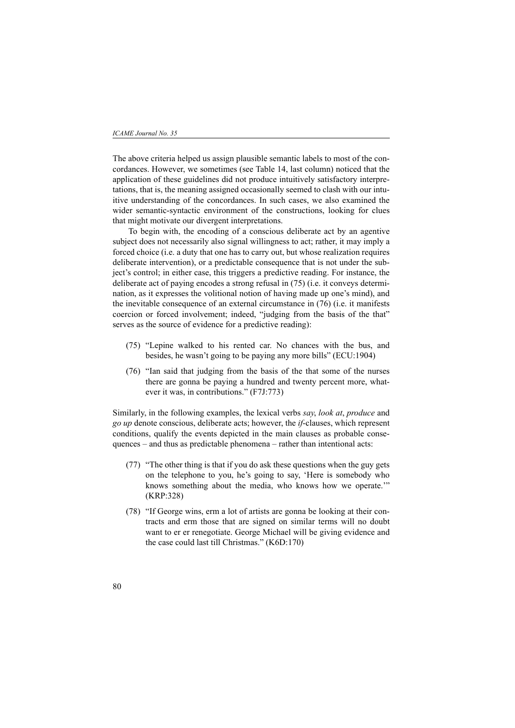The above criteria helped us assign plausible semantic labels to most of the concordances. However, we sometimes (see Table 14, last column) noticed that the application of these guidelines did not produce intuitively satisfactory interpretations, that is, the meaning assigned occasionally seemed to clash with our intuitive understanding of the concordances. In such cases, we also examined the wider semantic-syntactic environment of the constructions, looking for clues that might motivate our divergent interpretations.

To begin with, the encoding of a conscious deliberate act by an agentive subject does not necessarily also signal willingness to act; rather, it may imply a forced choice (i.e. a duty that one has to carry out, but whose realization requires deliberate intervention), or a predictable consequence that is not under the subject's control; in either case, this triggers a predictive reading. For instance, the deliberate act of paying encodes a strong refusal in (75) (i.e. it conveys determination, as it expresses the volitional notion of having made up one's mind), and the inevitable consequence of an external circumstance in (76) (i.e. it manifests coercion or forced involvement; indeed, "judging from the basis of the that" serves as the source of evidence for a predictive reading):

- (75) "Lepine walked to his rented car. No chances with the bus, and besides, he wasn't going to be paying any more bills" (ECU:1904)
- (76) "Ian said that judging from the basis of the that some of the nurses there are gonna be paying a hundred and twenty percent more, whatever it was, in contributions." (F7J:773)

Similarly, in the following examples, the lexical verbs *say*, *look at*, *produce* and *go up* denote conscious, deliberate acts; however, the *if*-clauses, which represent conditions, qualify the events depicted in the main clauses as probable consequences – and thus as predictable phenomena – rather than intentional acts:

- (77) "The other thing is that if you do ask these questions when the guy gets on the telephone to you, he's going to say, 'Here is somebody who knows something about the media, who knows how we operate.'" (KRP:328)
- (78) "If George wins, erm a lot of artists are gonna be looking at their contracts and erm those that are signed on similar terms will no doubt want to er er renegotiate. George Michael will be giving evidence and the case could last till Christmas." (K6D:170)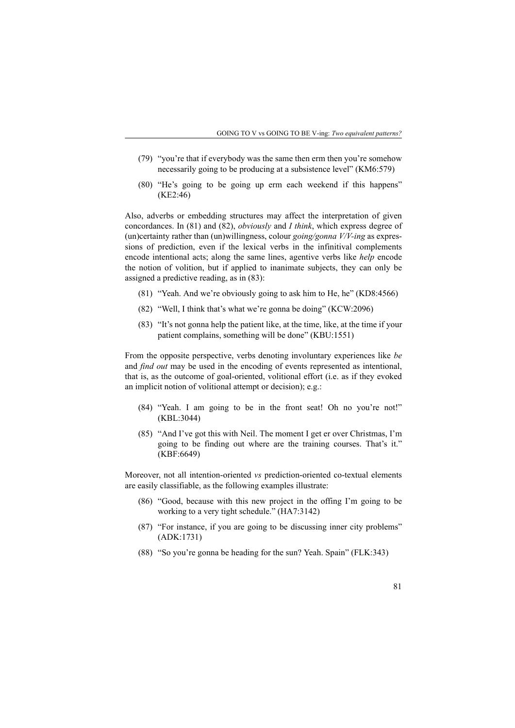- (79) "you're that if everybody was the same then erm then you're somehow necessarily going to be producing at a subsistence level" (KM6:579)
- (80) "He's going to be going up erm each weekend if this happens" (KE2:46)

Also, adverbs or embedding structures may affect the interpretation of given concordances. In (81) and (82), *obviously* and *I think*, which express degree of (un)certainty rather than (un)willingness, colour *going/gonna V/V-ing* as expressions of prediction, even if the lexical verbs in the infinitival complements encode intentional acts; along the same lines, agentive verbs like *help* encode the notion of volition, but if applied to inanimate subjects, they can only be assigned a predictive reading, as in (83):

- (81) "Yeah. And we're obviously going to ask him to He, he" (KD8:4566)
- (82) "Well, I think that's what we're gonna be doing" (KCW:2096)
- (83) "It's not gonna help the patient like, at the time, like, at the time if your patient complains, something will be done" (KBU:1551)

From the opposite perspective, verbs denoting involuntary experiences like *be* and *find out* may be used in the encoding of events represented as intentional, that is, as the outcome of goal-oriented, volitional effort (i.e. as if they evoked an implicit notion of volitional attempt or decision); e.g.:

- (84) "Yeah. I am going to be in the front seat! Oh no you're not!" (KBL:3044)
- (85) "And I've got this with Neil. The moment I get er over Christmas, I'm going to be finding out where are the training courses. That's it." (KBF:6649)

Moreover, not all intention-oriented *vs* prediction-oriented co-textual elements are easily classifiable, as the following examples illustrate:

- (86) "Good, because with this new project in the offing I'm going to be working to a very tight schedule." (HA7:3142)
- (87) "For instance, if you are going to be discussing inner city problems" (ADK:1731)
- (88) "So you're gonna be heading for the sun? Yeah. Spain" (FLK:343)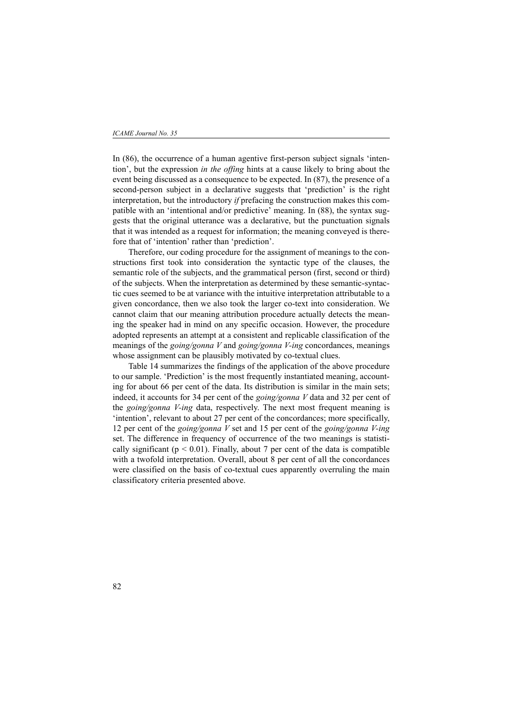In (86), the occurrence of a human agentive first-person subject signals 'intention', but the expression *in the offing* hints at a cause likely to bring about the event being discussed as a consequence to be expected. In (87), the presence of a second-person subject in a declarative suggests that 'prediction' is the right interpretation, but the introductory *if* prefacing the construction makes this compatible with an 'intentional and/or predictive' meaning. In (88), the syntax suggests that the original utterance was a declarative, but the punctuation signals that it was intended as a request for information; the meaning conveyed is therefore that of 'intention' rather than 'prediction'.

Therefore, our coding procedure for the assignment of meanings to the constructions first took into consideration the syntactic type of the clauses, the semantic role of the subjects, and the grammatical person (first, second or third) of the subjects. When the interpretation as determined by these semantic-syntactic cues seemed to be at variance with the intuitive interpretation attributable to a given concordance, then we also took the larger co-text into consideration. We cannot claim that our meaning attribution procedure actually detects the meaning the speaker had in mind on any specific occasion. However, the procedure adopted represents an attempt at a consistent and replicable classification of the meanings of the *going/gonna V* and *going/gonna V-ing* concordances, meanings whose assignment can be plausibly motivated by co-textual clues.

Table 14 summarizes the findings of the application of the above procedure to our sample. 'Prediction' is the most frequently instantiated meaning, accounting for about 66 per cent of the data. Its distribution is similar in the main sets; indeed, it accounts for 34 per cent of the *going/gonna V* data and 32 per cent of the *going/gonna V-ing* data, respectively. The next most frequent meaning is 'intention', relevant to about 27 per cent of the concordances; more specifically, 12 per cent of the *going/gonna V* set and 15 per cent of the *going/gonna V-ing* set. The difference in frequency of occurrence of the two meanings is statistically significant ( $p < 0.01$ ). Finally, about 7 per cent of the data is compatible with a twofold interpretation. Overall, about 8 per cent of all the concordances were classified on the basis of co-textual cues apparently overruling the main classificatory criteria presented above.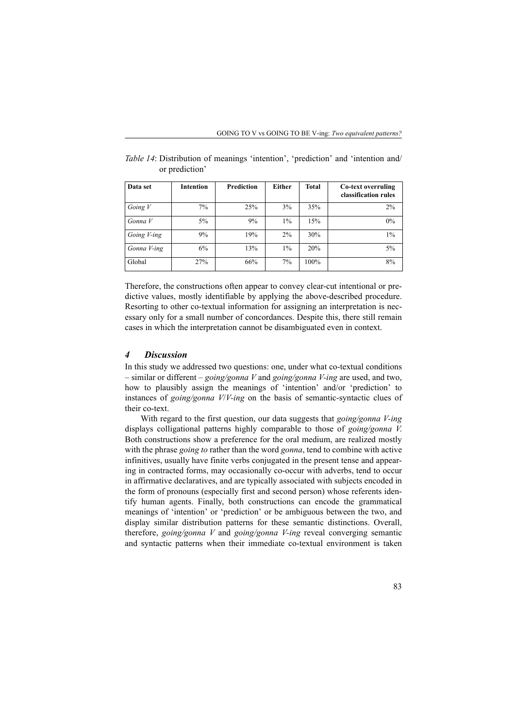| Data set    | Intention | <b>Prediction</b> | Either | <b>Total</b> | Co-text overruling<br>classification rules |
|-------------|-----------|-------------------|--------|--------------|--------------------------------------------|
| Going $V$   | 7%        | 25%               | 3%     | 35%          | 2%                                         |
| Gonna V     | 5%        | 9%                | $1\%$  | 15%          | $0\%$                                      |
| Going V-ing | 9%        | 19%               | $2\%$  | 30%          | $1\%$                                      |
| Gonna V-ing | 6%        | 13%               | $1\%$  | 20%          | 5%                                         |
| Global      | 27%       | 66%               | 7%     | 100%         | 8%                                         |

*Table 14*: Distribution of meanings 'intention', 'prediction' and 'intention and/ or prediction'

Therefore, the constructions often appear to convey clear-cut intentional or predictive values, mostly identifiable by applying the above-described procedure. Resorting to other co-textual information for assigning an interpretation is necessary only for a small number of concordances. Despite this, there still remain cases in which the interpretation cannot be disambiguated even in context.

## *4 Discussion*

In this study we addressed two questions: one, under what co-textual conditions – similar or different – *going/gonna V* and *going/gonna V-ing* are used, and two, how to plausibly assign the meanings of 'intention' and/or 'prediction' to instances of *going/gonna V*/*V-ing* on the basis of semantic-syntactic clues of their co-text.

With regard to the first question, our data suggests that *going/gonna V-ing* displays colligational patterns highly comparable to those of *going/gonna V*. Both constructions show a preference for the oral medium, are realized mostly with the phrase *going to* rather than the word *gonna*, tend to combine with active infinitives, usually have finite verbs conjugated in the present tense and appearing in contracted forms, may occasionally co-occur with adverbs, tend to occur in affirmative declaratives, and are typically associated with subjects encoded in the form of pronouns (especially first and second person) whose referents identify human agents. Finally, both constructions can encode the grammatical meanings of 'intention' or 'prediction' or be ambiguous between the two, and display similar distribution patterns for these semantic distinctions. Overall, therefore, *going/gonna V* and *going/gonna V-ing* reveal converging semantic and syntactic patterns when their immediate co-textual environment is taken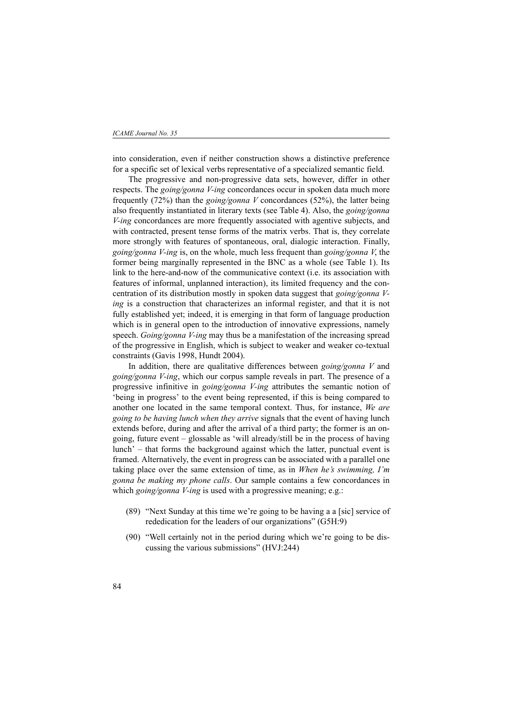into consideration, even if neither construction shows a distinctive preference for a specific set of lexical verbs representative of a specialized semantic field.

The progressive and non-progressive data sets, however, differ in other respects. The *going/gonna V-ing* concordances occur in spoken data much more frequently (72%) than the *going/gonna V* concordances (52%), the latter being also frequently instantiated in literary texts (see Table 4). Also, the *going/gonna V-ing* concordances are more frequently associated with agentive subjects, and with contracted, present tense forms of the matrix verbs. That is, they correlate more strongly with features of spontaneous, oral, dialogic interaction. Finally, *going/gonna V-ing* is, on the whole, much less frequent than *going/gonna V*, the former being marginally represented in the BNC as a whole (see Table 1). Its link to the here-and-now of the communicative context (i.e. its association with features of informal, unplanned interaction), its limited frequency and the concentration of its distribution mostly in spoken data suggest that *going/gonna Ving* is a construction that characterizes an informal register, and that it is not fully established yet; indeed, it is emerging in that form of language production which is in general open to the introduction of innovative expressions, namely speech. *Going/gonna V-ing* may thus be a manifestation of the increasing spread of the progressive in English, which is subject to weaker and weaker co-textual constraints (Gavis 1998, Hundt 2004).

In addition, there are qualitative differences between *going/gonna V* and *going/gonna V-ing*, which our corpus sample reveals in part. The presence of a progressive infinitive in *going/gonna V-ing* attributes the semantic notion of 'being in progress' to the event being represented, if this is being compared to another one located in the same temporal context. Thus, for instance, *We are going to be having lunch when they arrive* signals that the event of having lunch extends before, during and after the arrival of a third party; the former is an ongoing, future event – glossable as 'will already/still be in the process of having lunch' – that forms the background against which the latter, punctual event is framed. Alternatively, the event in progress can be associated with a parallel one taking place over the same extension of time, as in *When he's swimming, I'm gonna be making my phone calls*. Our sample contains a few concordances in which *going/gonna V-ing* is used with a progressive meaning; e.g.:

- (89) "Next Sunday at this time we're going to be having a a [sic] service of rededication for the leaders of our organizations" (G5H:9)
- (90) "Well certainly not in the period during which we're going to be discussing the various submissions" (HVJ:244)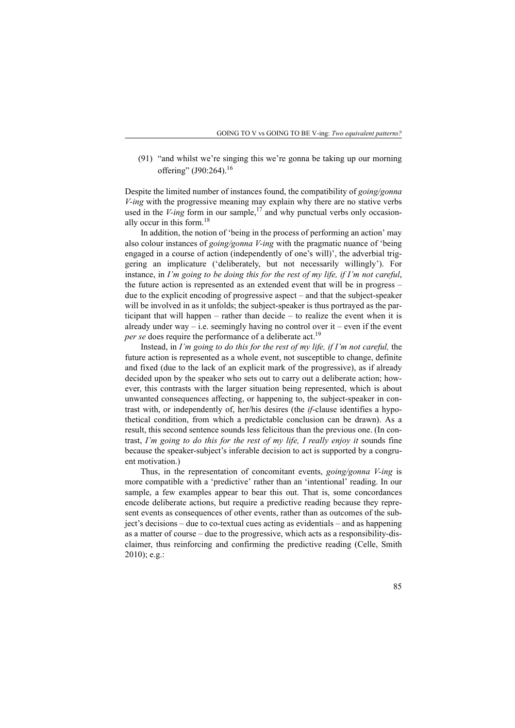(91) "and whilst we're singing this we're gonna be taking up our morning offering" (J90:264).<sup>16</sup>

Despite the limited number of instances found, the compatibility of *going/gonna V-ing* with the progressive meaning may explain why there are no stative verbs used in the  $V$ -ing form in our sample,<sup>17</sup> and why punctual verbs only occasionally occur in this form.<sup>18</sup>

In addition, the notion of 'being in the process of performing an action' may also colour instances of *going/gonna V-ing* with the pragmatic nuance of 'being engaged in a course of action (independently of one's will)', the adverbial triggering an implicature ('deliberately, but not necessarily willingly'). For instance, in *I'm going to be doing this for the rest of my life, if I'm not careful*, the future action is represented as an extended event that will be in progress – due to the explicit encoding of progressive aspect – and that the subject-speaker will be involved in as it unfolds; the subject-speaker is thus portrayed as the participant that will happen – rather than decide – to realize the event when it is already under way  $-$  i.e. seemingly having no control over it  $-$  even if the event *per se* does require the performance of a deliberate act.<sup>19</sup>

Instead, in *I'm going to do this for the rest of my life, if I'm not careful, the* future action is represented as a whole event, not susceptible to change, definite and fixed (due to the lack of an explicit mark of the progressive), as if already decided upon by the speaker who sets out to carry out a deliberate action; however, this contrasts with the larger situation being represented, which is about unwanted consequences affecting, or happening to, the subject-speaker in contrast with, or independently of, her/his desires (the *if*-clause identifies a hypothetical condition, from which a predictable conclusion can be drawn). As a result, this second sentence sounds less felicitous than the previous one. (In contrast, *I'm going to do this for the rest of my life, I really enjoy it* sounds fine because the speaker-subject's inferable decision to act is supported by a congruent motivation.)

Thus, in the representation of concomitant events, *going/gonna V-ing* is more compatible with a 'predictive' rather than an 'intentional' reading. In our sample, a few examples appear to bear this out. That is, some concordances encode deliberate actions, but require a predictive reading because they represent events as consequences of other events, rather than as outcomes of the subject's decisions – due to co-textual cues acting as evidentials – and as happening as a matter of course – due to the progressive, which acts as a responsibility-disclaimer, thus reinforcing and confirming the predictive reading (Celle, Smith 2010); e.g.: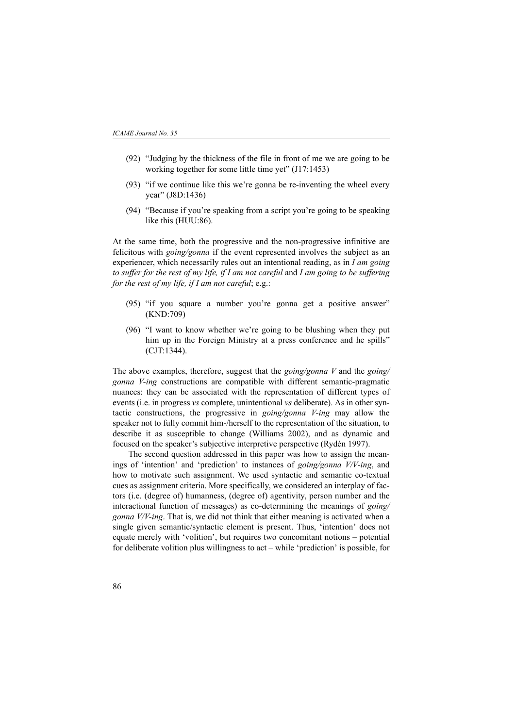- (92) "Judging by the thickness of the file in front of me we are going to be working together for some little time yet" (J17:1453)
- (93) "if we continue like this we're gonna be re-inventing the wheel every year" (J8D:1436)
- (94) "Because if you're speaking from a script you're going to be speaking like this (HUU:86).

At the same time, both the progressive and the non-progressive infinitive are felicitous with *going/gonna* if the event represented involves the subject as an experiencer, which necessarily rules out an intentional reading, as in *I am going to suffer for the rest of my life, if I am not careful* and *I am going to be suffering for the rest of my life, if I am not careful*; e.g.:

- (95) "if you square a number you're gonna get a positive answer" (KND:709)
- (96) "I want to know whether we're going to be blushing when they put him up in the Foreign Ministry at a press conference and he spills" (CJT:1344).

The above examples, therefore, suggest that the *going/gonna V* and the *going/ gonna V-ing* constructions are compatible with different semantic-pragmatic nuances: they can be associated with the representation of different types of events (i.e. in progress *vs* complete, unintentional *vs* deliberate). As in other syntactic constructions, the progressive in *going/gonna V-ing* may allow the speaker not to fully commit him-/herself to the representation of the situation, to describe it as susceptible to change (Williams 2002), and as dynamic and focused on the speaker's subjective interpretive perspective (Rydén 1997).

The second question addressed in this paper was how to assign the meanings of 'intention' and 'prediction' to instances of *going/gonna V/V-ing*, and how to motivate such assignment. We used syntactic and semantic co-textual cues as assignment criteria. More specifically, we considered an interplay of factors (i.e. (degree of) humanness, (degree of) agentivity, person number and the interactional function of messages) as co-determining the meanings of *going/ gonna V/V-ing*. That is, we did not think that either meaning is activated when a single given semantic/syntactic element is present. Thus, 'intention' does not equate merely with 'volition', but requires two concomitant notions – potential for deliberate volition plus willingness to act – while 'prediction' is possible, for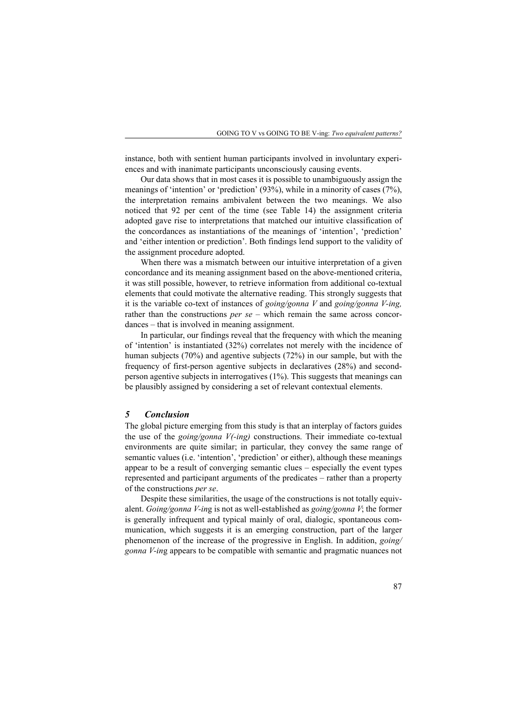instance, both with sentient human participants involved in involuntary experiences and with inanimate participants unconsciously causing events.

Our data shows that in most cases it is possible to unambiguously assign the meanings of 'intention' or 'prediction' (93%), while in a minority of cases (7%), the interpretation remains ambivalent between the two meanings. We also noticed that 92 per cent of the time (see Table 14) the assignment criteria adopted gave rise to interpretations that matched our intuitive classification of the concordances as instantiations of the meanings of 'intention', 'prediction' and 'either intention or prediction'. Both findings lend support to the validity of the assignment procedure adopted.

When there was a mismatch between our intuitive interpretation of a given concordance and its meaning assignment based on the above-mentioned criteria, it was still possible, however, to retrieve information from additional co-textual elements that could motivate the alternative reading. This strongly suggests that it is the variable co-text of instances of *going/gonna V* and *going/gonna V-ing,* rather than the constructions *per se* – which remain the same across concordances – that is involved in meaning assignment.

In particular, our findings reveal that the frequency with which the meaning of 'intention' is instantiated (32%) correlates not merely with the incidence of human subjects (70%) and agentive subjects (72%) in our sample, but with the frequency of first-person agentive subjects in declaratives (28%) and secondperson agentive subjects in interrogatives (1%). This suggests that meanings can be plausibly assigned by considering a set of relevant contextual elements.

### *5 Conclusion*

The global picture emerging from this study is that an interplay of factors guides the use of the *going/gonna V(-ing)* constructions. Their immediate co-textual environments are quite similar; in particular, they convey the same range of semantic values (i.e. 'intention', 'prediction' or either), although these meanings appear to be a result of converging semantic clues – especially the event types represented and participant arguments of the predicates – rather than a property of the constructions *per se*.

Despite these similarities, the usage of the constructions is not totally equivalent. *Going/gonna V-in*g is not as well-established as *going/gonna V*; the former is generally infrequent and typical mainly of oral, dialogic, spontaneous communication, which suggests it is an emerging construction, part of the larger phenomenon of the increase of the progressive in English. In addition, *going/ gonna V-in*g appears to be compatible with semantic and pragmatic nuances not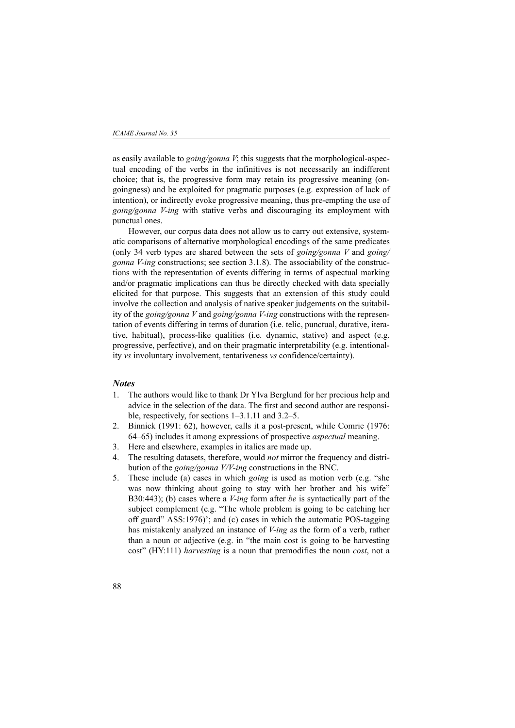#### *ICAME Journal No. 35*

as easily available to *going/gonna V*; this suggests that the morphological-aspectual encoding of the verbs in the infinitives is not necessarily an indifferent choice; that is, the progressive form may retain its progressive meaning (ongoingness) and be exploited for pragmatic purposes (e.g. expression of lack of intention), or indirectly evoke progressive meaning, thus pre-empting the use of *going/gonna V-ing* with stative verbs and discouraging its employment with punctual ones.

However, our corpus data does not allow us to carry out extensive, systematic comparisons of alternative morphological encodings of the same predicates (only 34 verb types are shared between the sets of *going/gonna V* and *going/ gonna V-ing* constructions; see section 3.1.8). The associability of the constructions with the representation of events differing in terms of aspectual marking and/or pragmatic implications can thus be directly checked with data specially elicited for that purpose. This suggests that an extension of this study could involve the collection and analysis of native speaker judgements on the suitability of the *going/gonna V* and *going/gonna V-ing* constructions with the representation of events differing in terms of duration (i.e. telic, punctual, durative, iterative, habitual), process-like qualities (i.e. dynamic, stative) and aspect (e.g. progressive, perfective), and on their pragmatic interpretability (e.g. intentionality *vs* involuntary involvement, tentativeness *vs* confidence/certainty).

### *Notes*

- 1. The authors would like to thank Dr Ylva Berglund for her precious help and advice in the selection of the data. The first and second author are responsible, respectively, for sections 1–3.1.11 and 3.2–5.
- 2. Binnick (1991: 62), however, calls it a post-present, while Comrie (1976: 64–65) includes it among expressions of prospective *aspectual* meaning.
- 3. Here and elsewhere, examples in italics are made up.
- 4. The resulting datasets, therefore, would *not* mirror the frequency and distribution of the *going/gonna V/V-ing* constructions in the BNC.
- 5. These include (a) cases in which *going* is used as motion verb (e.g. "she was now thinking about going to stay with her brother and his wife" B30:443); (b) cases where a *V-ing* form after *be* is syntactically part of the subject complement (e.g. "The whole problem is going to be catching her off guard" ASS:1976)'; and (c) cases in which the automatic POS-tagging has mistakenly analyzed an instance of *V-ing* as the form of a verb, rather than a noun or adjective (e.g. in "the main cost is going to be harvesting cost" (HY:111) *harvesting* is a noun that premodifies the noun *cost*, not a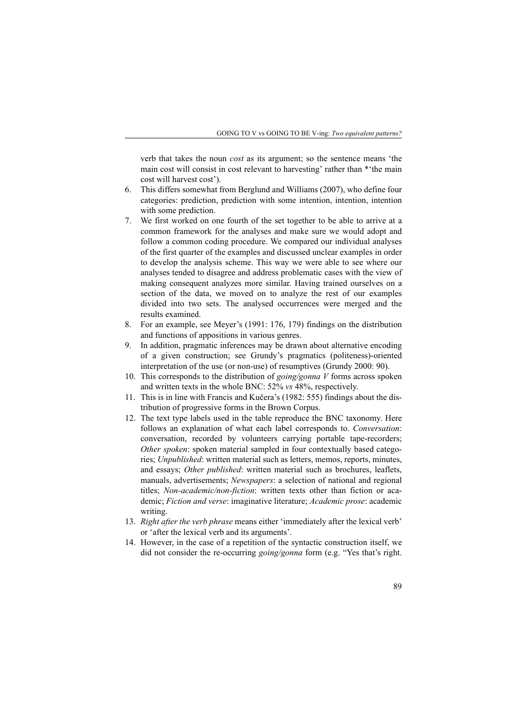verb that takes the noun *cost* as its argument; so the sentence means 'the main cost will consist in cost relevant to harvesting' rather than \*'the main cost will harvest cost').

- 6. This differs somewhat from Berglund and Williams (2007), who define four categories: prediction, prediction with some intention, intention, intention with some prediction.
- 7. We first worked on one fourth of the set together to be able to arrive at a common framework for the analyses and make sure we would adopt and follow a common coding procedure. We compared our individual analyses of the first quarter of the examples and discussed unclear examples in order to develop the analysis scheme. This way we were able to see where our analyses tended to disagree and address problematic cases with the view of making consequent analyzes more similar. Having trained ourselves on a section of the data, we moved on to analyze the rest of our examples divided into two sets. The analysed occurrences were merged and the results examined.
- 8. For an example, see Meyer's (1991: 176, 179) findings on the distribution and functions of appositions in various genres.
- 9. In addition, pragmatic inferences may be drawn about alternative encoding of a given construction; see Grundy's pragmatics (politeness)-oriented interpretation of the use (or non-use) of resumptives (Grundy 2000: 90).
- 10. This corresponds to the distribution of *going/gonna V* forms across spoken and written texts in the whole BNC: 52% *vs* 48%, respectively.
- 11. This is in line with Francis and Kučera's (1982: 555) findings about the distribution of progressive forms in the Brown Corpus.
- 12. The text type labels used in the table reproduce the BNC taxonomy. Here follows an explanation of what each label corresponds to. *Conversation*: conversation, recorded by volunteers carrying portable tape-recorders; *Other spoken*: spoken material sampled in four contextually based categories; *Unpublished*: written material such as letters, memos, reports, minutes, and essays; *Other published*: written material such as brochures, leaflets, manuals, advertisements; *Newspapers*: a selection of national and regional titles; *Non-academic/non-fiction*: written texts other than fiction or academic; *Fiction and verse*: imaginative literature; *Academic prose*: academic writing.
- 13. *Right after the verb phrase* means either 'immediately after the lexical verb' or 'after the lexical verb and its arguments'.
- 14. However, in the case of a repetition of the syntactic construction itself, we did not consider the re-occurring *going/gonna* form (e.g. "Yes that's right.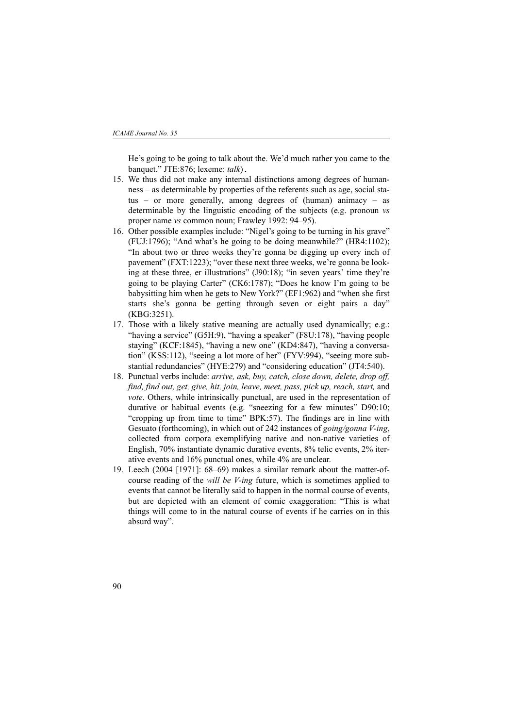He's going to be going to talk about the. We'd much rather you came to the banquet." JTE:876; lexeme: *talk*).

- 15. We thus did not make any internal distinctions among degrees of humanness – as determinable by properties of the referents such as age, social status – or more generally, among degrees of (human) animacy – as determinable by the linguistic encoding of the subjects (e.g. pronoun *vs* proper name *vs* common noun; Frawley 1992: 94–95).
- 16. Other possible examples include: "Nigel's going to be turning in his grave" (FUJ:1796); "And what's he going to be doing meanwhile?" (HR4:1102); "In about two or three weeks they're gonna be digging up every inch of pavement" (FXT:1223); "over these next three weeks, we're gonna be looking at these three, er illustrations" (J90:18); "in seven years' time they're going to be playing Carter" (CK6:1787); "Does he know I'm going to be babysitting him when he gets to New York?" (EF1:962) and "when she first starts she's gonna be getting through seven or eight pairs a day" (KBG:3251).
- 17. Those with a likely stative meaning are actually used dynamically; e.g.: "having a service" (G5H:9), "having a speaker" (F8U:178), "having people staying" (KCF:1845), "having a new one" (KD4:847), "having a conversation" (KSS:112), "seeing a lot more of her" (FYV:994), "seeing more substantial redundancies" (HYE:279) and "considering education" (JT4:540).
- 18. Punctual verbs include: *arrive, ask, buy, catch, close down, delete, drop off, find, find out, get, give, hit, join, leave, meet, pass, pick up, reach, start,* and *vote*. Others, while intrinsically punctual, are used in the representation of durative or habitual events (e.g. "sneezing for a few minutes" D90:10; "cropping up from time to time" BPK:57). The findings are in line with Gesuato (forthcoming), in which out of 242 instances of *going/gonna V-ing*, collected from corpora exemplifying native and non-native varieties of English, 70% instantiate dynamic durative events, 8% telic events, 2% iterative events and 16% punctual ones, while 4% are unclear.
- 19. Leech (2004 [1971]: 68–69) makes a similar remark about the matter-ofcourse reading of the *will be V-ing* future, which is sometimes applied to events that cannot be literally said to happen in the normal course of events, but are depicted with an element of comic exaggeration: "This is what things will come to in the natural course of events if he carries on in this absurd way".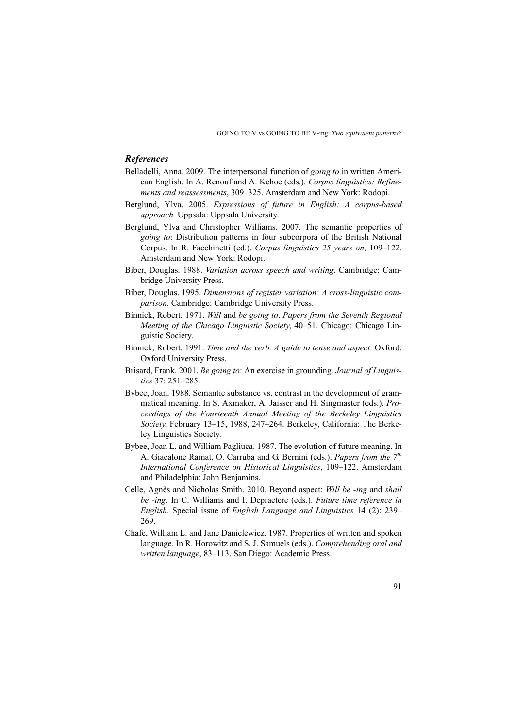## *References*

- Belladelli, Anna. 2009. The interpersonal function of *going to* in written American English. In A. Renouf and A. Kehoe (eds.). *Corpus linguistics: Refinements and reassessments*, 309–325. Amsterdam and New York: Rodopi.
- Berglund, Ylva. 2005. *Expressions of future in English: A corpus-based approach.* Uppsala: Uppsala University.
- Berglund, Ylva and Christopher Williams. 2007. The semantic properties of *going to*: Distribution patterns in four subcorpora of the British National Corpus. In R. Facchinetti (ed.). *Corpus linguistics 25 years on*, 109–122. Amsterdam and New York: Rodopi.
- Biber, Douglas. 1988. *Variation across speech and writing*. Cambridge: Cambridge University Press.
- Biber, Douglas. 1995. *Dimensions of register variation: A cross-linguistic comparison*. Cambridge: Cambridge University Press.
- Binnick, Robert. 1971. *Will* and *be going to*. *Papers from the Seventh Regional Meeting of the Chicago Linguistic Society*, 40–51. Chicago: Chicago Linguistic Society.
- Binnick, Robert. 1991. *Time and the verb. A guide to tense and aspect*. Oxford: Oxford University Press.
- Brisard, Frank. 2001. *Be going to*: An exercise in grounding. *Journal of Linguistics* 37: 251–285.
- Bybee, Joan. 1988. Semantic substance vs. contrast in the development of grammatical meaning. In S. Axmaker, A. Jaisser and H. Singmaster (eds.). *Proceedings of the Fourteenth Annual Meeting of the Berkeley Linguistics Society*, February 13–15, 1988, 247–264. Berkeley, California: The Berkeley Linguistics Society.
- Bybee, Joan L. and William Pagliuca. 1987. The evolution of future meaning. In A. Giacalone Ramat, O. Carruba and G. Bernini (eds.). *Papers from the 7th International Conference on Historical Linguistics*, 109–122. Amsterdam and Philadelphia: John Benjamins.
- Celle, Agnès and Nicholas Smith. 2010. Beyond aspect: *Will be -ing* and *shall be -ing*. In C. Williams and I. Depraetere (eds.). *Future time reference in English.* Special issue of *English Language and Linguistics* 14 (2): 239– 269.
- Chafe, William L. and Jane Danielewicz. 1987. Properties of written and spoken language. In R. Horowitz and S. J. Samuels (eds.). *Comprehending oral and written language*, 83–113. San Diego: Academic Press.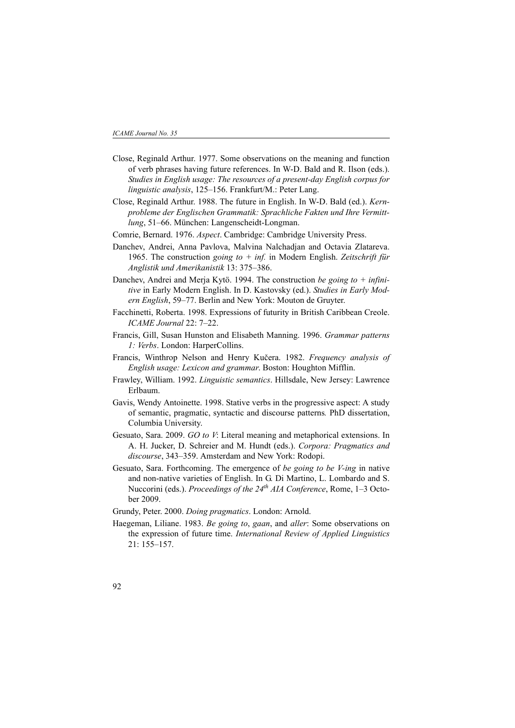- Close, Reginald Arthur. 1977. Some observations on the meaning and function of verb phrases having future references. In W-D. Bald and R. Ilson (eds.). *Studies in English usage: The resources of a present-day English corpus for linguistic analysis*, 125–156. Frankfurt/M.: Peter Lang.
- Close, Reginald Arthur. 1988. The future in English. In W-D. Bald (ed.). *Kernprobleme der Englischen Grammatik: Sprachliche Fakten und Ihre Vermittlung*, 51–66. München: Langenscheidt-Longman.
- Comrie, Bernard. 1976. *Aspect*. Cambridge: Cambridge University Press.
- Danchev, Andrei, Anna Pavlova, Malvina Nalchadjan and Octavia Zlatareva. 1965. The construction *going to + inf.* in Modern English. *Zeitschrift für Anglistik und Amerikanistik* 13: 375–386.
- Danchev, Andrei and Merja Kytö. 1994. The construction *be going to + infinitive* in Early Modern English. In D. Kastovsky (ed.). *Studies in Early Modern English*, 59–77. Berlin and New York: Mouton de Gruyter.
- Facchinetti, Roberta. 1998. Expressions of futurity in British Caribbean Creole. *ICAME Journal* 22: 7–22.
- Francis, Gill, Susan Hunston and Elisabeth Manning. 1996. *Grammar patterns 1: Verbs*. London: HarperCollins.
- Francis, Winthrop Nelson and Henry Kučera. 1982. *Frequency analysis of English usage: Lexicon and grammar*. Boston: Houghton Mifflin.
- Frawley, William. 1992. *Linguistic semantics*. Hillsdale, New Jersey: Lawrence Erlbaum.
- Gavis, Wendy Antoinette. 1998. Stative verbs in the progressive aspect: A study of semantic, pragmatic, syntactic and discourse patterns*.* PhD dissertation, Columbia University.
- Gesuato, Sara. 2009. *GO to V*: Literal meaning and metaphorical extensions. In A. H. Jucker, D. Schreier and M. Hundt (eds.). *Corpora: Pragmatics and discourse*, 343–359. Amsterdam and New York: Rodopi.
- Gesuato, Sara. Forthcoming. The emergence of *be going to be V-ing* in native and non-native varieties of English. In G. Di Martino, L. Lombardo and S. Nuccorini (eds.). *Proceedings of the 24th AIA Conference*, Rome, 1–3 October 2009.
- Grundy, Peter. 2000. *Doing pragmatics*. London: Arnold.
- Haegeman, Liliane. 1983. *Be going to*, *gaan*, and *aller*: Some observations on the expression of future time. *International Review of Applied Linguistics* 21: 155–157.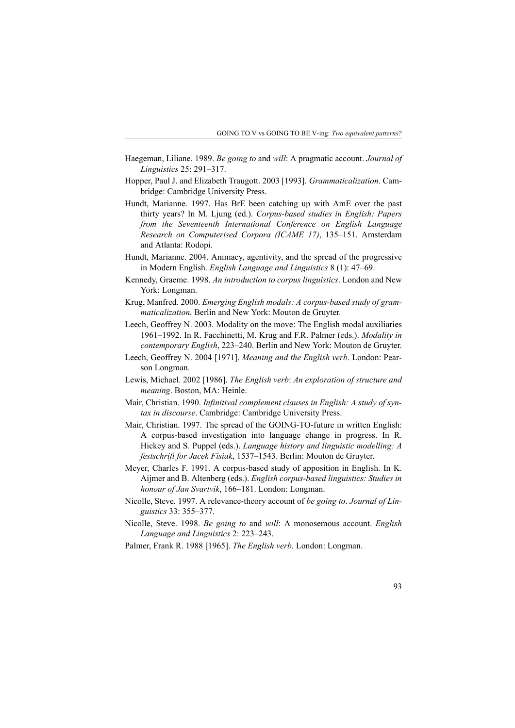- Haegeman, Liliane. 1989. *Be going to* and *will*: A pragmatic account. *Journal of Linguistics* 25: 291–317.
- Hopper, Paul J. and Elizabeth Traugott. 2003 [1993]. *Grammaticalization*. Cambridge: Cambridge University Press.
- Hundt, Marianne. 1997. Has BrE been catching up with AmE over the past thirty years? In M. Ljung (ed.). *Corpus-based studies in English: Papers from the Seventeenth International Conference on English Language Research on Computerised Corpora (ICAME 17)*, 135–151. Amsterdam and Atlanta: Rodopi.
- Hundt, Marianne. 2004. Animacy, agentivity, and the spread of the progressive in Modern English. *English Language and Linguistics* 8 (1): 47–69.
- Kennedy, Graeme. 1998. *An introduction to corpus linguistics*. London and New York: Longman.
- Krug, Manfred. 2000. *Emerging English modals: A corpus-based study of grammaticalization.* Berlin and New York: Mouton de Gruyter.
- Leech, Geoffrey N. 2003. Modality on the move: The English modal auxiliaries 1961–1992. In R. Facchinetti, M. Krug and F.R. Palmer (eds.). *Modality in contemporary English*, 223–240. Berlin and New York: Mouton de Gruyter.
- Leech, Geoffrey N. 2004 [1971]. *Meaning and the English verb*. London: Pearson Longman.
- Lewis, Michael. 2002 [1986]. *The English verb*: *An exploration of structure and meaning*. Boston, MA: Heinle.
- Mair, Christian. 1990. *Infinitival complement clauses in English: A study of syntax in discourse*. Cambridge: Cambridge University Press.
- Mair, Christian. 1997. The spread of the GOING-TO-future in written English: A corpus-based investigation into language change in progress. In R. Hickey and S. Puppel (eds.). *Language history and linguistic modelling: A festschrift for Jacek Fisiak*, 1537–1543. Berlin: Mouton de Gruyter.
- Meyer, Charles F. 1991. A corpus-based study of apposition in English. In K. Aijmer and B. Altenberg (eds.). *English corpus-based linguistics: Studies in honour of Jan Svartvik*, 166–181. London: Longman.
- Nicolle, Steve. 1997. A relevance-theory account of *be going to*. *Journal of Linguistics* 33: 355–377.
- Nicolle, Steve. 1998. *Be going to* and *will*: A monosemous account. *English Language and Linguistics* 2: 223–243.
- Palmer, Frank R. 1988 [1965]. *The English verb.* London: Longman.